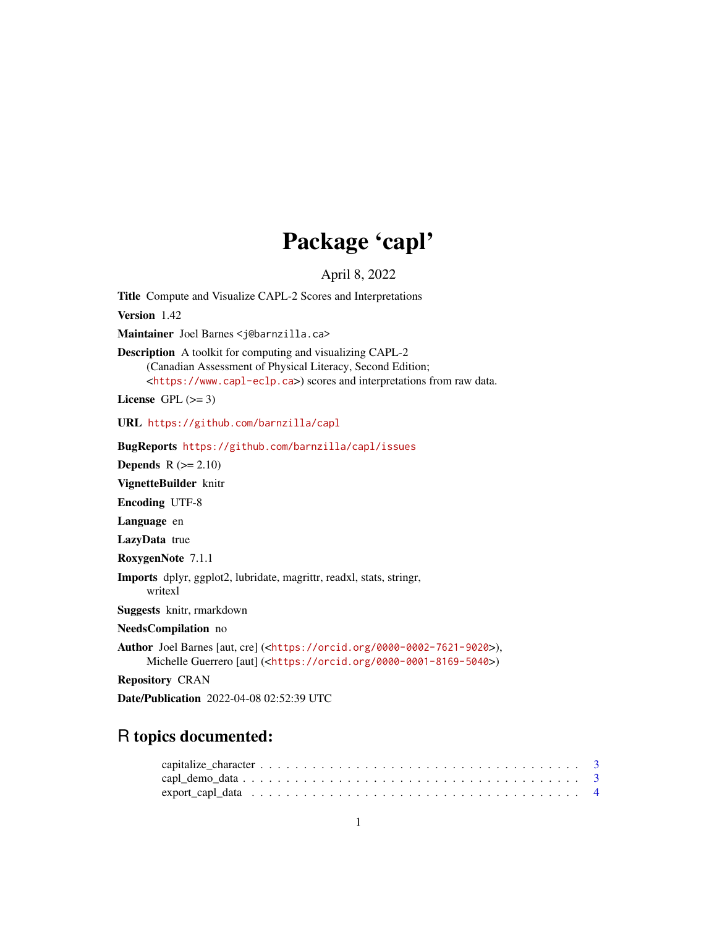# Package 'capl'

April 8, 2022

<span id="page-0-0"></span>Title Compute and Visualize CAPL-2 Scores and Interpretations Version 1.42 Maintainer Joel Barnes <j@barnzilla.ca> Description A toolkit for computing and visualizing CAPL-2 (Canadian Assessment of Physical Literacy, Second Edition; <<https://www.capl-eclp.ca>>) scores and interpretations from raw data. License GPL  $(>= 3)$ URL <https://github.com/barnzilla/capl> BugReports <https://github.com/barnzilla/capl/issues> **Depends**  $R$  ( $>= 2.10$ ) VignetteBuilder knitr Encoding UTF-8 Language en LazyData true RoxygenNote 7.1.1 Imports dplyr, ggplot2, lubridate, magrittr, readxl, stats, stringr, writexl Suggests knitr, rmarkdown NeedsCompilation no Author Joel Barnes [aut, cre] (<<https://orcid.org/0000-0002-7621-9020>>), Michelle Guerrero [aut] (<<https://orcid.org/0000-0001-8169-5040>>) Repository CRAN Date/Publication 2022-04-08 02:52:39 UTC

# R topics documented: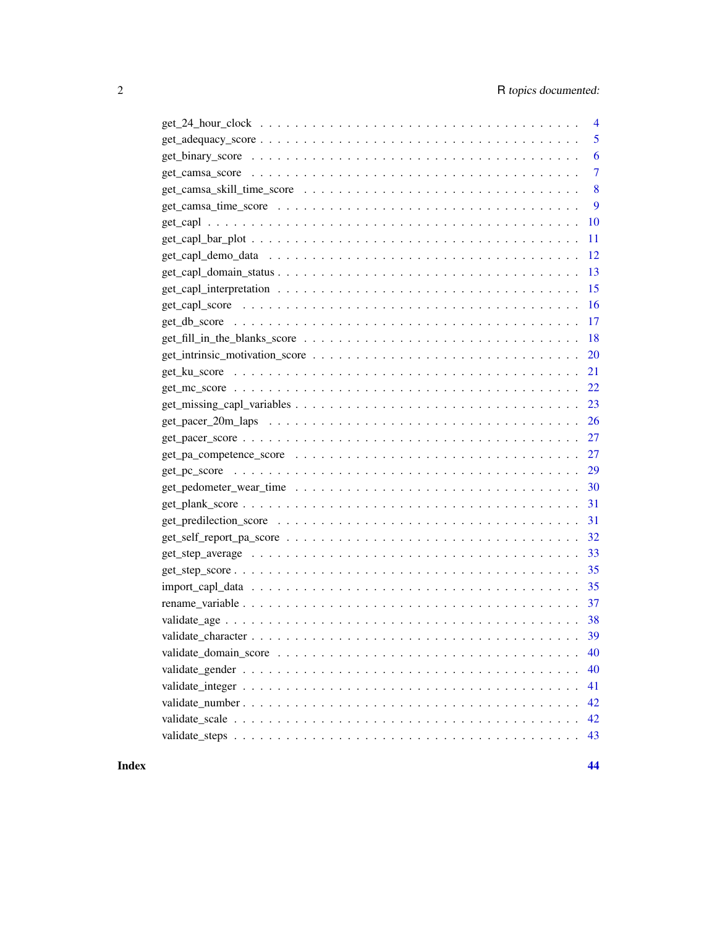| 4         |
|-----------|
| 5         |
| 6         |
| 7         |
| 8         |
| 9         |
| 10        |
| 11        |
| 12        |
| 13        |
| 15        |
| 16        |
| 17        |
| 18        |
| <b>20</b> |
| 21        |
| 22        |
|           |
|           |
|           |
|           |
|           |
|           |
|           |
| 31        |
| 32        |
| 33        |
| 35        |
|           |
|           |
|           |
|           |
| 40        |
| 40        |
| 41        |
| 42        |
| 42        |
| 43        |

**Index All the second contract of the second contract of the second contract of the second contract of the second contract of the second contract of the second contract of the second contract of the second contract of th**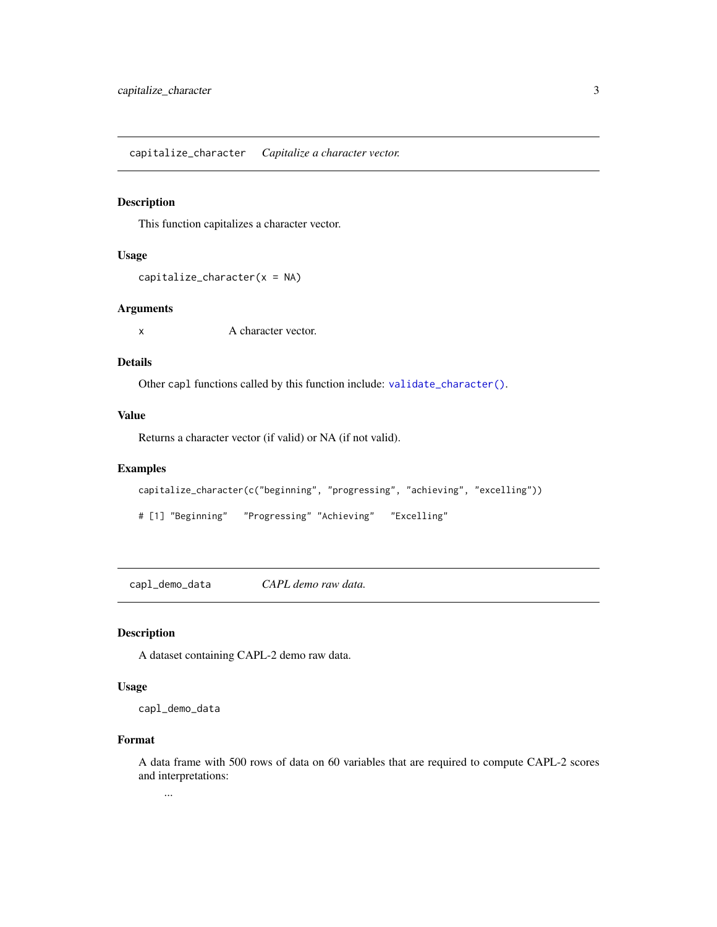<span id="page-2-1"></span><span id="page-2-0"></span>capitalize\_character *Capitalize a character vector.*

# Description

This function capitalizes a character vector.

#### Usage

 $capitalize_{character}(x = NA)$ 

# Arguments

x A character vector.

# Details

Other capl functions called by this function include: [validate\\_character\(\)](#page-38-1).

# Value

Returns a character vector (if valid) or NA (if not valid).

# Examples

```
capitalize_character(c("beginning", "progressing", "achieving", "excelling"))
```
# [1] "Beginning" "Progressing" "Achieving" "Excelling"

capl\_demo\_data *CAPL demo raw data.*

#### Description

A dataset containing CAPL-2 demo raw data.

#### Usage

capl\_demo\_data

# Format

A data frame with 500 rows of data on 60 variables that are required to compute CAPL-2 scores and interpretations:

...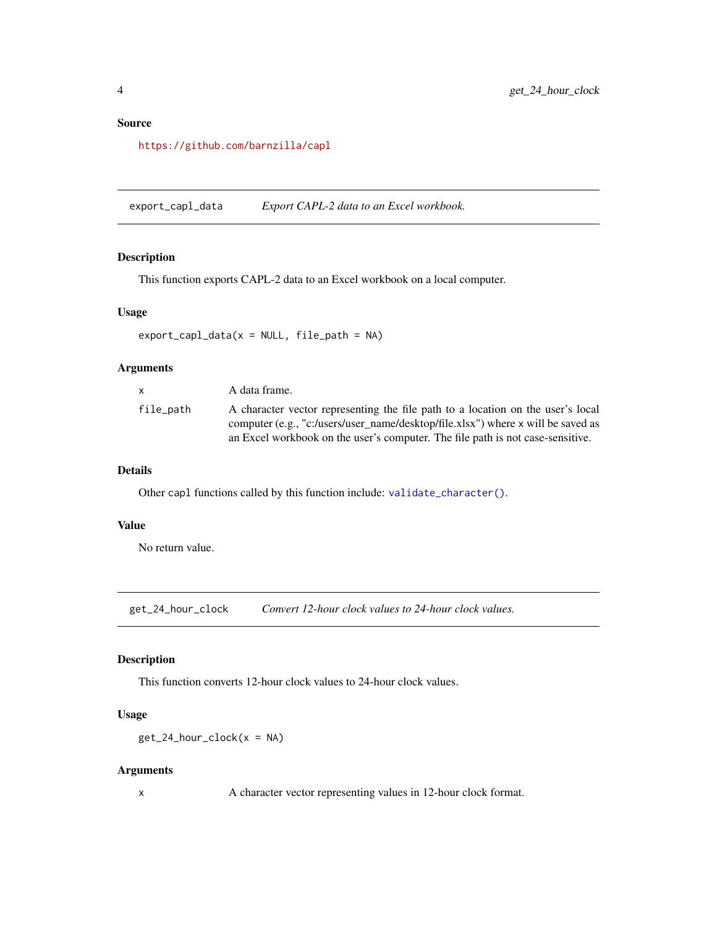# <span id="page-3-0"></span>Source

<https://github.com/barnzilla/capl>

export\_capl\_data *Export CAPL-2 data to an Excel workbook.*

# Description

This function exports CAPL-2 data to an Excel workbook on a local computer.

#### Usage

```
export\_cap1\_data(x = NULL, file\_path = NA)
```
# Arguments

| x.        | A data frame.                                                                                                                                                       |
|-----------|---------------------------------------------------------------------------------------------------------------------------------------------------------------------|
| file_path | A character vector representing the file path to a location on the user's local<br>computer (e.g., "c:/users/user_name/desktop/file.xlsx") where x will be saved as |
|           | an Excel workbook on the user's computer. The file path is not case-sensitive.                                                                                      |

# Details

Other capl functions called by this function include: [validate\\_character\(\)](#page-38-1).

# Value

No return value.

<span id="page-3-1"></span>get\_24\_hour\_clock *Convert 12-hour clock values to 24-hour clock values.*

# Description

This function converts 12-hour clock values to 24-hour clock values.

# Usage

```
get_24_hour_clock(x = NA)
```
# Arguments

x A character vector representing values in 12-hour clock format.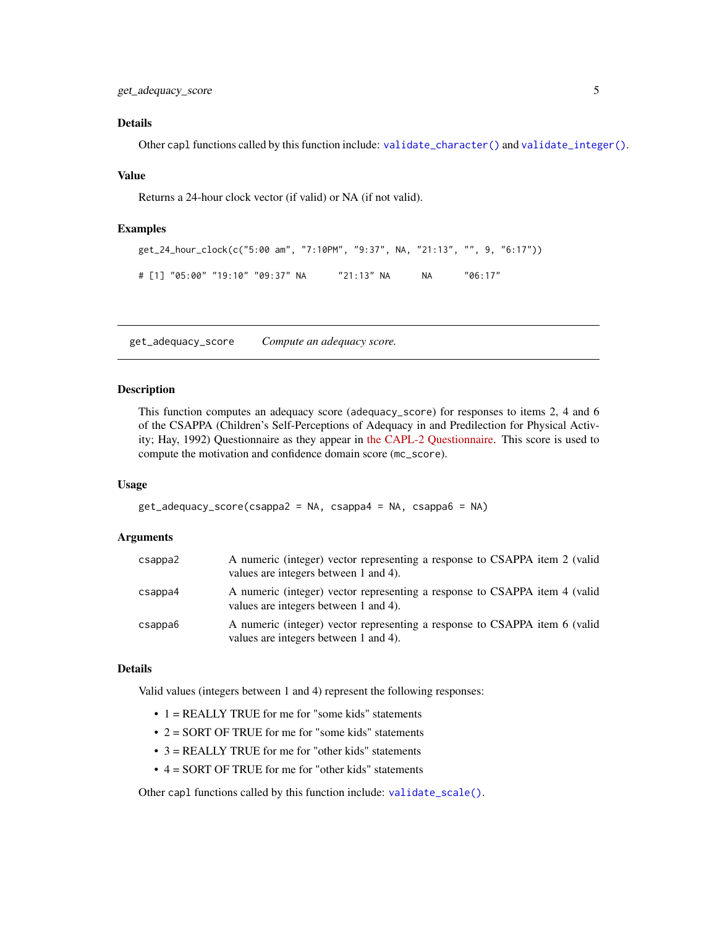# <span id="page-4-0"></span>Details

Other capl functions called by this function include: [validate\\_character\(\)](#page-38-1) and [validate\\_integer\(\)](#page-40-1).

#### Value

Returns a 24-hour clock vector (if valid) or NA (if not valid).

#### Examples

```
get_24_hour_clock(c("5:00 am", "7:10PM", "9:37", NA, "21:13", "", 9, "6:17"))
# [1] "05:00" "19:10" "09:37" NA "21:13" NA NA "06:17"
```
<span id="page-4-1"></span>get\_adequacy\_score *Compute an adequacy score.*

#### Description

This function computes an adequacy score (adequacy\_score) for responses to items 2, 4 and 6 of the CSAPPA (Children's Self-Perceptions of Adequacy in and Predilection for Physical Activity; Hay, 1992) Questionnaire as they appear in [the CAPL-2 Questionnaire.](https://www.capl-eclp.ca/wp-content/uploads/2018/02/CAPL-2-questionnaire.pdf) This score is used to compute the motivation and confidence domain score (mc\_score).

#### Usage

```
get_adequacy_score(csappa2 = NA, csappa4 = NA, csappa6 = NA)
```
#### Arguments

| csappa2 | A numeric (integer) vector representing a response to CSAPPA item 2 (valid<br>values are integers between 1 and 4). |
|---------|---------------------------------------------------------------------------------------------------------------------|
| csappa4 | A numeric (integer) vector representing a response to CSAPPA item 4 (valid<br>values are integers between 1 and 4). |
| csappa6 | A numeric (integer) vector representing a response to CSAPPA item 6 (valid<br>values are integers between 1 and 4). |

# Details

Valid values (integers between 1 and 4) represent the following responses:

- 1 = REALLY TRUE for me for "some kids" statements
- 2 = SORT OF TRUE for me for "some kids" statements
- $\bullet$  3 = REALLY TRUE for me for "other kids" statements
- 4 = SORT OF TRUE for me for "other kids" statements

Other capl functions called by this function include: [validate\\_scale\(\)](#page-41-1).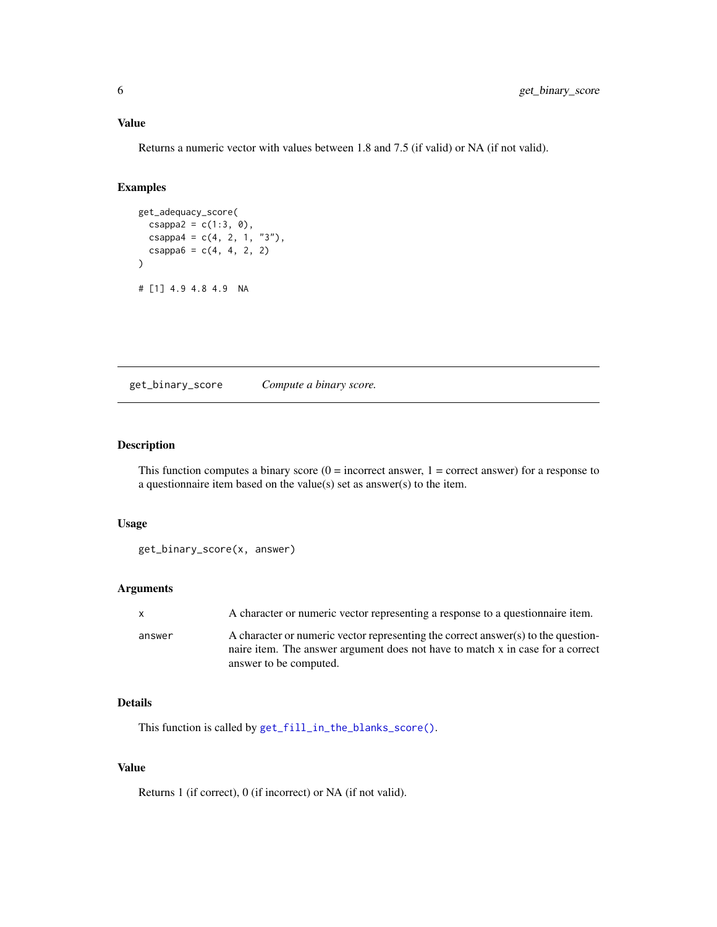#### <span id="page-5-0"></span>Value

Returns a numeric vector with values between 1.8 and 7.5 (if valid) or NA (if not valid).

# Examples

```
get_adequacy_score(
  csappa2 = c(1:3, 0),
  csappa4 = c(4, 2, 1, "3"),
  csappa6 = c(4, 4, 2, 2)\lambda# [1] 4.9 4.8 4.9 NA
```
<span id="page-5-1"></span>get\_binary\_score *Compute a binary score.*

# Description

This function computes a binary score  $(0 = incorrect answer, 1 = correct answer)$  for a response to a questionnaire item based on the value(s) set as answer(s) to the item.

# Usage

```
get_binary_score(x, answer)
```
# Arguments

| $\mathsf{x}$ | A character or numeric vector representing a response to a questionnaire item.                                                                                      |
|--------------|---------------------------------------------------------------------------------------------------------------------------------------------------------------------|
| answer       | A character or numeric vector representing the correct answer(s) to the question-<br>naire item. The answer argument does not have to match x in case for a correct |
|              | answer to be computed.                                                                                                                                              |

# Details

This function is called by [get\\_fill\\_in\\_the\\_blanks\\_score\(\)](#page-17-1).

# Value

Returns 1 (if correct), 0 (if incorrect) or NA (if not valid).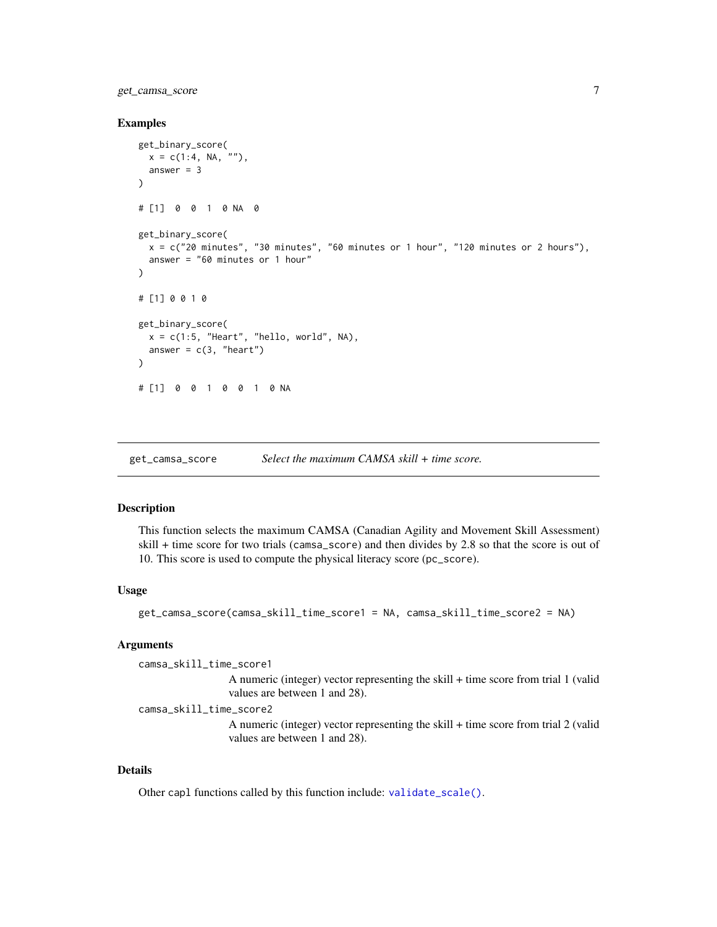<span id="page-6-0"></span>get\_camsa\_score 7

#### Examples

```
get_binary_score(
 x = c(1:4, NA, ""),
  answer = 3\lambda# [1] 0 0 1 0 NA 0
get_binary_score(
  x = c("20 minutes", "30 minutes", "60 minutes", "60 minutes or 1 hour", "120 minutes or 2 hours"),answer = "60 minutes or 1 hour"
\lambda# [1] 0 0 1 0
get_binary_score(
  x = c(1:5, "Heart", "hello, world", NA),
  answer = c(3, "heart")\lambda# [1] 0 0 1 0 0 1 0 NA
```
<span id="page-6-1"></span>get\_camsa\_score *Select the maximum CAMSA skill + time score.*

# Description

This function selects the maximum CAMSA (Canadian Agility and Movement Skill Assessment) skill + time score for two trials (camsa\_score) and then divides by 2.8 so that the score is out of 10. This score is used to compute the physical literacy score (pc\_score).

#### Usage

get\_camsa\_score(camsa\_skill\_time\_score1 = NA, camsa\_skill\_time\_score2 = NA)

#### **Arguments**

```
camsa_skill_time_score1
                  A numeric (integer) vector representing the skill + time score from trial 1 (valid
                  values are between 1 and 28).
```
camsa\_skill\_time\_score2

A numeric (integer) vector representing the skill + time score from trial 2 (valid values are between 1 and 28).

#### Details

Other capl functions called by this function include: [validate\\_scale\(\)](#page-41-1).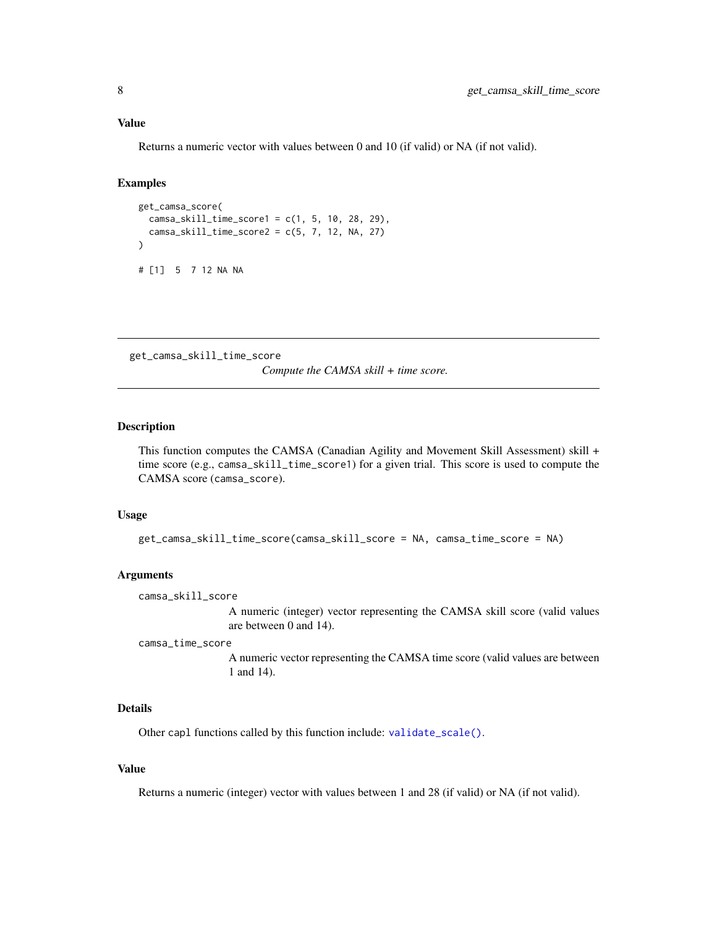#### <span id="page-7-0"></span>Value

Returns a numeric vector with values between 0 and 10 (if valid) or NA (if not valid).

# Examples

```
get_camsa_score(
  camsa_skill_time_score1 = c(1, 5, 10, 28, 29),
  camsa_skill_time_score2 = c(5, 7, 12, NA, 27)
)
# [1] 5 7 12 NA NA
```
<span id="page-7-1"></span>get\_camsa\_skill\_time\_score

*Compute the CAMSA skill + time score.*

# Description

This function computes the CAMSA (Canadian Agility and Movement Skill Assessment) skill + time score (e.g., camsa\_skill\_time\_score1) for a given trial. This score is used to compute the CAMSA score (camsa\_score).

#### Usage

```
get_camsa_skill_time_score(camsa_skill_score = NA, camsa_time_score = NA)
```
#### Arguments

camsa\_skill\_score

A numeric (integer) vector representing the CAMSA skill score (valid values are between 0 and 14).

camsa\_time\_score

A numeric vector representing the CAMSA time score (valid values are between 1 and 14).

# Details

Other capl functions called by this function include: [validate\\_scale\(\)](#page-41-1).

#### Value

Returns a numeric (integer) vector with values between 1 and 28 (if valid) or NA (if not valid).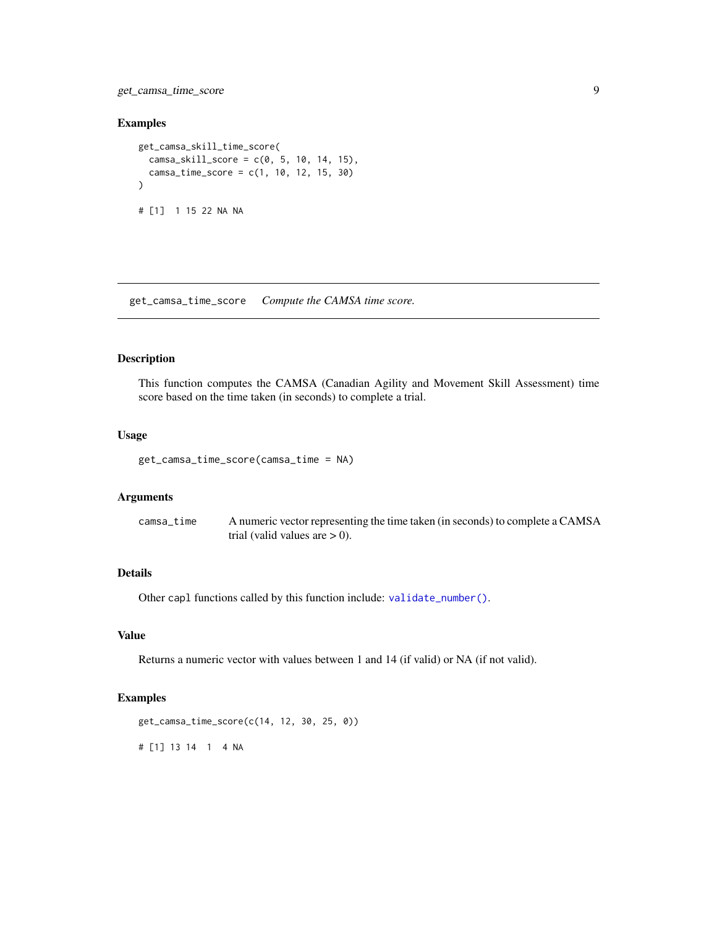<span id="page-8-0"></span>get\_camsa\_time\_score 9

#### Examples

```
get_camsa_skill_time_score(
  camsa_{skill_score} = c(0, 5, 10, 14, 15),camsa_time_score = c(1, 10, 12, 15, 30)
)
# [1] 1 15 22 NA NA
```
<span id="page-8-1"></span>get\_camsa\_time\_score *Compute the CAMSA time score.*

#### Description

This function computes the CAMSA (Canadian Agility and Movement Skill Assessment) time score based on the time taken (in seconds) to complete a trial.

#### Usage

```
get_camsa_time_score(camsa_time = NA)
```
#### Arguments

camsa\_time A numeric vector representing the time taken (in seconds) to complete a CAMSA trial (valid values are  $> 0$ ).

# Details

Other capl functions called by this function include: [validate\\_number\(\)](#page-41-2).

# Value

Returns a numeric vector with values between 1 and 14 (if valid) or NA (if not valid).

#### Examples

```
get_camsa_time_score(c(14, 12, 30, 25, 0))
```
# [1] 13 14 1 4 NA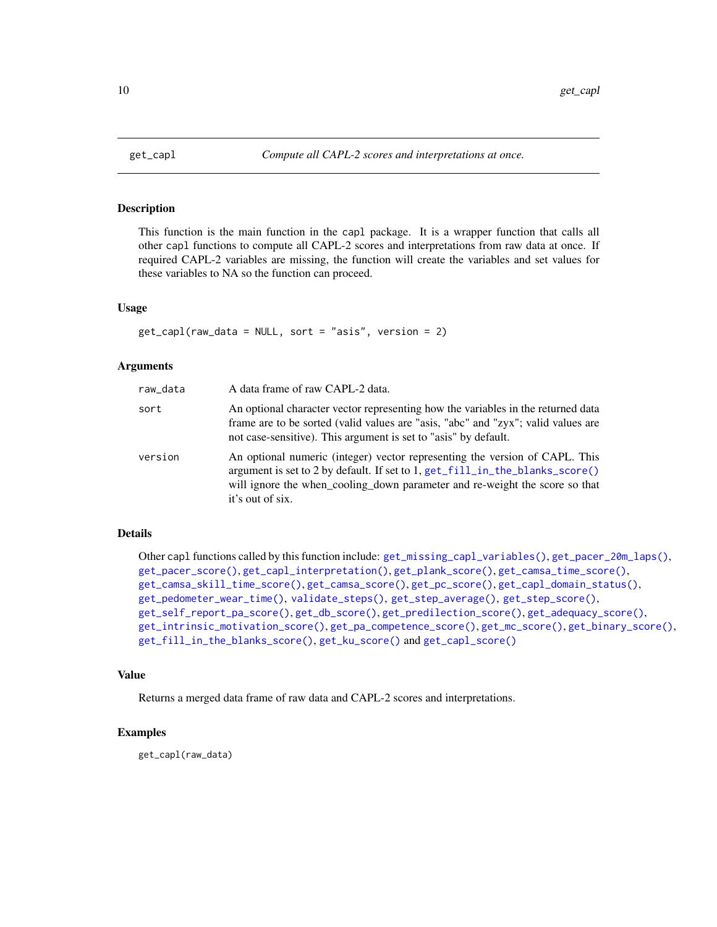<span id="page-9-1"></span><span id="page-9-0"></span>

#### **Description**

This function is the main function in the capl package. It is a wrapper function that calls all other capl functions to compute all CAPL-2 scores and interpretations from raw data at once. If required CAPL-2 variables are missing, the function will create the variables and set values for these variables to NA so the function can proceed.

# Usage

get\_capl(raw\_data = NULL, sort = "asis", version = 2)

# Arguments

| raw_data | A data frame of raw CAPL-2 data.                                                                                                                                                                                                                               |
|----------|----------------------------------------------------------------------------------------------------------------------------------------------------------------------------------------------------------------------------------------------------------------|
| sort     | An optional character vector representing how the variables in the returned data<br>frame are to be sorted (valid values are "asis, "abc" and "zyx"; valid values are<br>not case-sensitive). This argument is set to "asis" by default.                       |
| version  | An optional numeric (integer) vector representing the version of CAPL. This<br>argument is set to 2 by default. If set to 1, get_fill_in_the_blanks_score()<br>will ignore the when_cooling_down parameter and re-weight the score so that<br>it's out of six. |

### Details

```
Other capl functions called by this function include: get_missing_capl_variables(), get_pacer_20m_laps(),
get_pacer_score(), get_capl_interpretation(), get_plank_score(), get_camsa_time_score(),
get_camsa_skill_time_score(), get_camsa_score(), get_pc_score(), get_capl_domain_status(),
get_pedometer_wear_time(), validate_steps(), get_step_average(), get_step_score(),
get_self_report_pa_score(), get_db_score(), get_predilection_score(), get_adequacy_score(),
get_intrinsic_motivation_score(), get_pa_competence_score(), get_mc_score(), get_binary_score(),
get_fill_in_the_blanks_score(), get_ku_score() and get_capl_score()
```
#### Value

Returns a merged data frame of raw data and CAPL-2 scores and interpretations.

# Examples

get\_capl(raw\_data)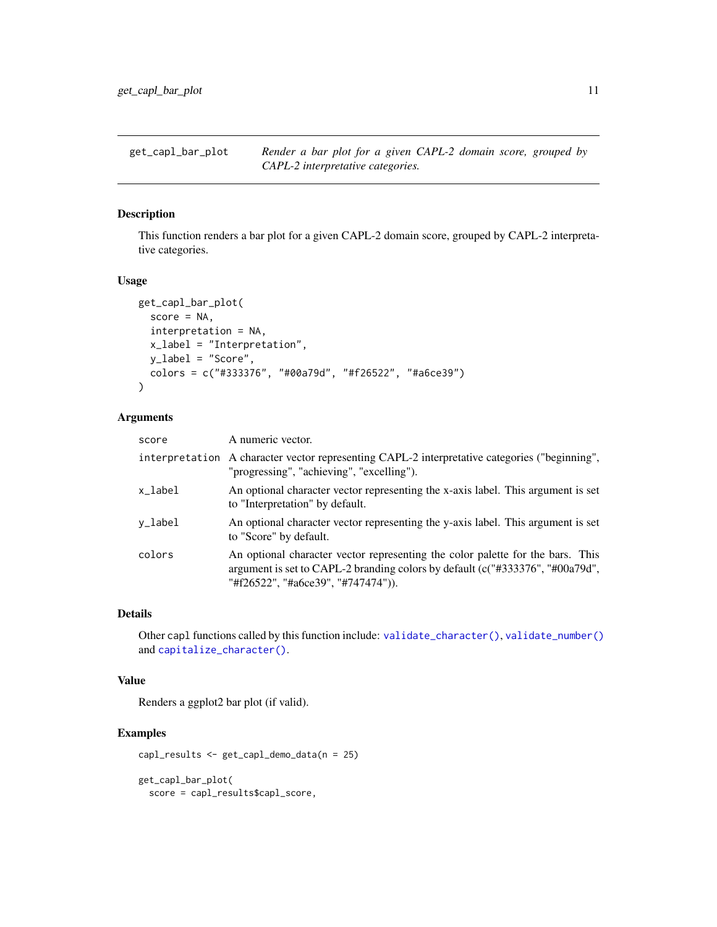<span id="page-10-0"></span>get\_capl\_bar\_plot *Render a bar plot for a given CAPL-2 domain score, grouped by CAPL-2 interpretative categories.*

# Description

This function renders a bar plot for a given CAPL-2 domain score, grouped by CAPL-2 interpretative categories.

#### Usage

```
get_capl_bar_plot(
  score = NA,
  interpretation = NA,
  x_label = "Interpretation",
 y_label = "Score",
  colors = c("#333376", "#00a79d", "#f26522", "#a6ce39")
)
```
# Arguments

| score   | A numeric vector.                                                                                                                                                                                         |
|---------|-----------------------------------------------------------------------------------------------------------------------------------------------------------------------------------------------------------|
|         | interpretation A character vector representing CAPL-2 interpretative categories ("beginning",<br>"progressing", "achieving", "excelling").                                                                |
| x_label | An optional character vector representing the x-axis label. This argument is set<br>to "Interpretation" by default.                                                                                       |
| y_label | An optional character vector representing the y-axis label. This argument is set<br>to "Score" by default.                                                                                                |
| colors  | An optional character vector representing the color palette for the bars. This<br>argument is set to CAPL-2 branding colors by default ( $c$ ("#333376", "#00a79d",<br>"#f26522", "#a6ce39", "#747474")). |

#### Details

Other capl functions called by this function include: [validate\\_character\(\)](#page-38-1), [validate\\_number\(\)](#page-41-2) and [capitalize\\_character\(\)](#page-2-1).

# Value

Renders a ggplot2 bar plot (if valid).

# Examples

capl\_results <- get\_capl\_demo\_data(n = 25)

get\_capl\_bar\_plot( score = capl\_results\$capl\_score,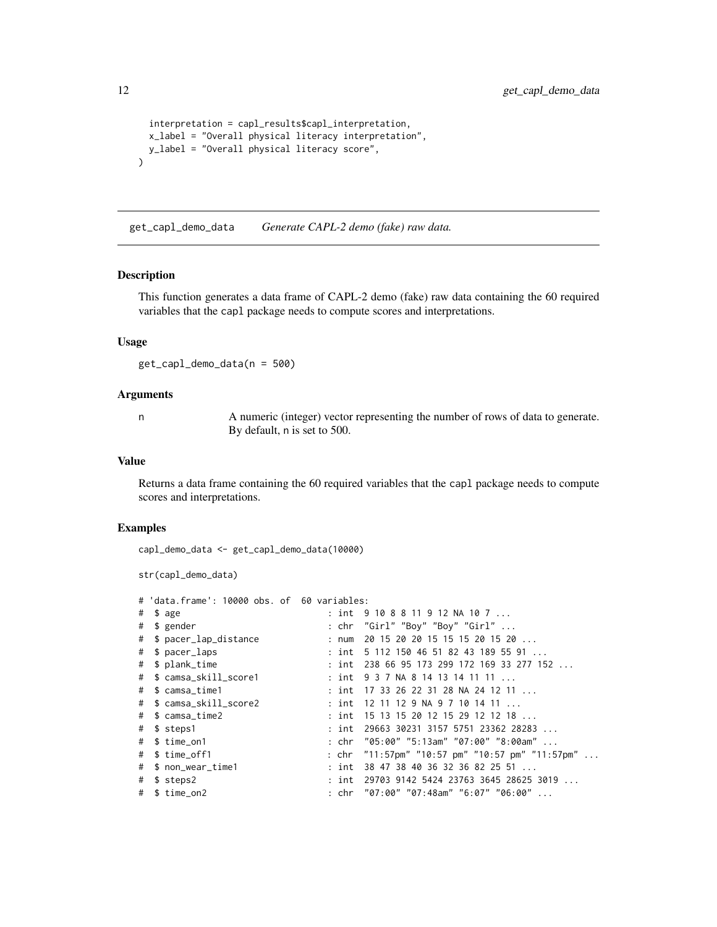```
interpretation = capl_results$capl_interpretation,
 x_label = "Overall physical literacy interpretation",
 y_label = "Overall physical literacy score",
\lambda
```
<span id="page-11-1"></span>get\_capl\_demo\_data *Generate CAPL-2 demo (fake) raw data.*

# Description

This function generates a data frame of CAPL-2 demo (fake) raw data containing the 60 required variables that the capl package needs to compute scores and interpretations.

#### Usage

get\_capl\_demo\_data(n = 500)

#### Arguments

n A numeric (integer) vector representing the number of rows of data to generate. By default, n is set to 500.

## Value

Returns a data frame containing the 60 required variables that the capl package needs to compute scores and interpretations.

```
capl_demo_data <- get_capl_demo_data(10000)
```

```
str(capl_demo_data)
```

|   | # 'data.frame': 10000 obs. of 60 variables: |       |                                                          |
|---|---------------------------------------------|-------|----------------------------------------------------------|
| # | \$ age                                      |       | : int 9108811912NA107                                    |
| # | \$ gender                                   |       | : chr "Girl" "Boy" "Boy" "Girl"                          |
|   | # \$ pacer_lap_distance                     | : num | 20 15 20 20 15 15 15 20 15 20                            |
| # | \$ pacer_laps                               |       | : int $5\ 112\ 150\ 46\ 51\ 82\ 43\ 189\ 55\ 91\ \ldots$ |
| # | \$ plank_time                               |       | : int 238 66 95 173 299 172 169 33 277 152               |
|   | # \$ camsa_skill_score1                     |       | : int $937$ NA 8 14 13 14 11 11                          |
| # | \$ camsa_time1                              |       | : int  17 33 26 22 31 28 NA 24 12 11                     |
|   | # \$ camsa_skill_score2                     |       | : int 12 11 12 9 NA 9 7 10 14 11 $\dots$                 |
|   | # \$ camsa_time2                            |       | : int 15 13 15 20 12 15 29 12 12 18                      |
| # | \$ steps1                                   |       | : int 29663 30231 3157 5751 23362 28283                  |
|   | # \$ time_on1                               |       | : chr "05:00" "5:13am" "07:00" "8:00am"                  |
|   | # \$ time off1                              |       | : chr "11:57pm" "10:57 pm" "10:57 pm" "11:57pm"          |
|   | # \$ non_wear_time1                         |       | : int 38 47 38 40 36 32 36 82 25 51                      |
|   | # \$ steps2                                 |       | : int  29703 9142 5424 23763 3645 28625 3019             |
|   | # \$ time_on2                               |       | : chr "07:00" "07:48am" "6:07" "06:00"                   |

<span id="page-11-0"></span>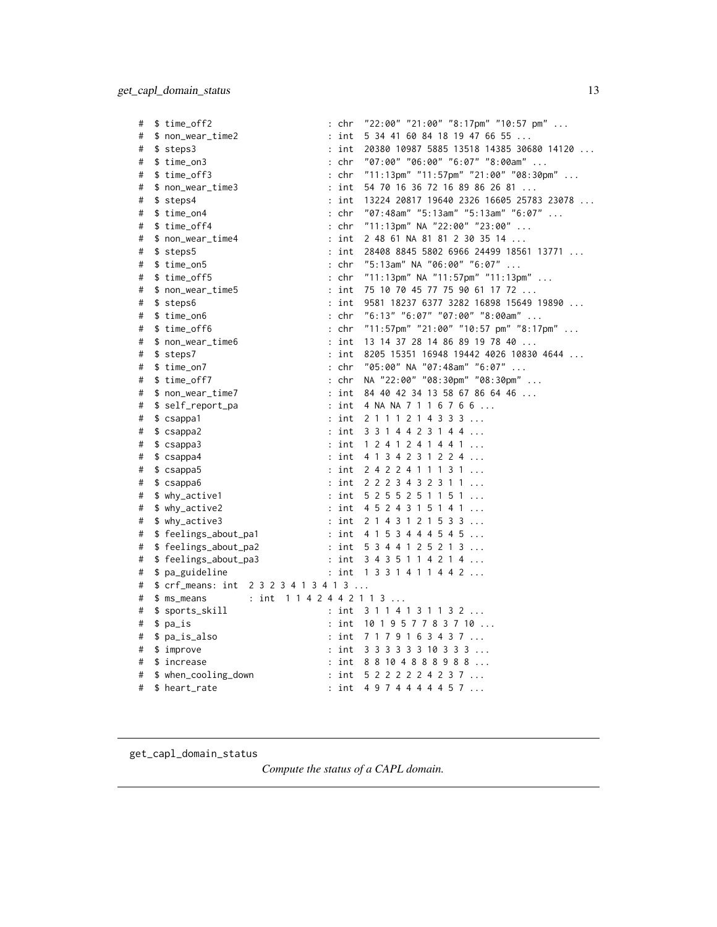<span id="page-12-0"></span>

| # | \$ time_off2                 | "22:00" "21:00" "8:17pm" "10:57 pm"<br>: chr                            |
|---|------------------------------|-------------------------------------------------------------------------|
| # | \$ non_wear_time2            | int<br>5 34 41 60 84 18 19 47 66 55                                     |
| # | \$ steps3                    | int<br>20380 10987 5885 13518 14385 30680 14120<br>$\ddot{\phantom{a}}$ |
| # | \$ time_on3                  | "07:00" "06:00" "6:07" "8:00am"<br>: chr                                |
| # | \$ time_off3                 | "11:13pm" "11:57pm" "21:00" "08:30pm"<br>: chr                          |
| # | \$ non_wear_time3            | 54 70 16 36 72 16 89 86 26 81<br>: int                                  |
| # | \$ steps4                    | 13224 20817 19640 2326 16605 25783 23078<br>: int                       |
| # | $$ time\_on4$                | "07:48am" "5:13am" "5:13am" "6:07"<br>: chr                             |
| # | \$ time_off4                 | "11:13pm" NA "22:00" "23:00"<br>: chr                                   |
| # | \$ non_wear_time4            | : int<br>2 48 61 NA 81 81 2 30 35 14                                    |
| # | \$ steps5                    | 28408 8845 5802 6966 24499 18561 13771<br>: int                         |
| # | \$ time_on5                  | $:$ chr<br>"5:13am" NA "06:00" "6:07"                                   |
| # | \$ time_off5                 | : chr<br>"11:13pm" NA "11:57pm" "11:13pm"                               |
| # | \$ non_wear_time5            | : int<br>75 10 70 45 77 75 90 61 17 72                                  |
| # | \$ steps6                    | : int<br>9581 18237 6377 3282 16898 15649 19890                         |
| # | \$ time_on6                  | "6:13" "6:07" "07:00" "8:00am"<br>: chr                                 |
| # | \$ time_off6                 | "11:57pm" "21:00" "10:57 pm" "8:17pm"<br>: chr                          |
| # | \$ non_wear_time6            | : int<br>13 14 37 28 14 86 89 19 78 40                                  |
| # | \$ steps7                    | 8205 15351 16948 19442 4026 10830 4644<br>: int                         |
| # | \$ time_on7                  | "05:00" NA "07:48am" "6:07"<br>: chr                                    |
| # | \$ time_off7                 | NA "22:00" "08:30pm" "08:30pm"<br>$:$ chr                               |
| # | \$ non_wear_time7            | : int<br>84 40 42 34 13 58 67 86 64 46                                  |
| # | \$ self_report_pa            | : int<br>4 NA NA 7 1 1 6 7 6 6                                          |
| # | \$ csappa1                   | : int<br>2 1 1 1 2 1 4 3 3 3                                            |
| # | \$ csappa2                   | 3 3 1 4 4 2 3 1 4 4<br>: int                                            |
| # | \$ csappa3                   | : int<br>1 2 4 1 2 4 1 4 4 1                                            |
| # | \$csappa4                    | 4 1 3 4 2 3 1 2 2 4<br>: int                                            |
| # | \$csappa5                    | 2 4 2 2 4 1 1 1 3 1<br>: int                                            |
| # | \$csappa6                    | : int<br>2 2 2 3 4 3 2 3 1 1                                            |
| # | \$ why_active1               | : int<br>5 2 5 5 2 5 1 1 5 1                                            |
| # | \$ why_active2               | 4 5 2 4 3 1 5 1 4 1<br>: int                                            |
| # | $$ why_active3$              | $:$ int<br>2 1 4 3 1 2 1 5 3 3                                          |
| # | \$ feelings_about_pa1        | 4 1 5 3 4 4 4 5 4 5<br>: int                                            |
| # | \$ feelings_about_pa2        | : int<br>5 3 4 4 1 2 5 2 1 3                                            |
| # | \$ feelings_about_pa3        | : int<br>3 4 3 5 1 1 4 2 1 4                                            |
| # | \$ pa_guideline              | : int $1331411442$                                                      |
| # | $$crf_means: int 2323413413$ |                                                                         |
| # | \$ ms_means                  | : int 1142442113                                                        |
| # | \$ sports_skill              | : int<br>3114131132                                                     |
| # | \$ pa_is                     | 10 1 9 5 7 7 8 3 7 10<br>: int                                          |
| # | \$ pa_is_also                | 7 1 7 9 1 6 3 4 3 7<br>: int                                            |
| # | $$$ improve                  | : int<br>3 3 3 3 3 3 10 3 3 3                                           |
| # | \$ increase                  | 8 8 10 4 8 8 8 9 8 8<br>: int                                           |
| # | \$ when_cooling_down         | 5 2 2 2 2 2 4 2 3 7<br>: int                                            |
| # | \$ heart_rate                | : int<br>4 9 7 4 4 4 4 4 5 7                                            |

<span id="page-12-1"></span>get\_capl\_domain\_status

*Compute the status of a CAPL domain.*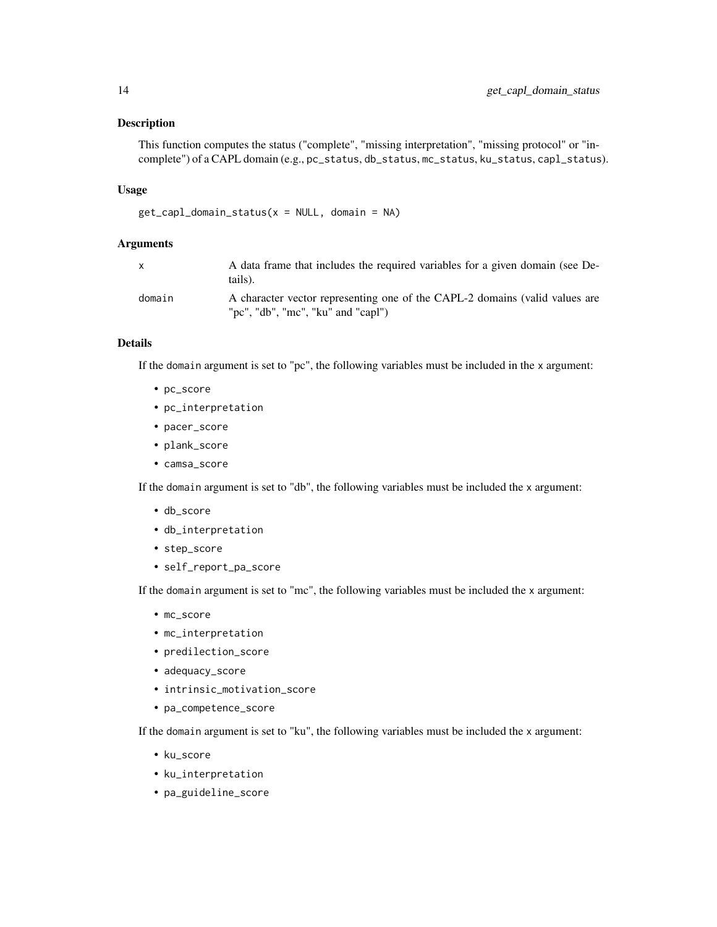# Description

```
This function computes the status ("complete", "missing interpretation", "missing protocol" or "in-
complete") of a CAPL domain (e.g., pc_status, db_status, mc_status, ku_status, capl_status).
```
#### Usage

```
get_capl_domain_status(x = NULL, domain = NA)
```
# Arguments

| $\mathsf{x}$ | A data frame that includes the required variables for a given domain (see De-<br>tails).                          |
|--------------|-------------------------------------------------------------------------------------------------------------------|
| domain       | A character vector representing one of the CAPL-2 domains (valid values are<br>"pc", "db", "mc", "ku" and "capl") |

# Details

If the domain argument is set to "pc", the following variables must be included in the x argument:

- pc\_score
- pc\_interpretation
- pacer\_score
- plank\_score
- camsa\_score

If the domain argument is set to "db", the following variables must be included the x argument:

- db\_score
- db\_interpretation
- step\_score
- self\_report\_pa\_score

If the domain argument is set to "mc", the following variables must be included the x argument:

- mc\_score
- mc\_interpretation
- predilection\_score
- adequacy\_score
- intrinsic\_motivation\_score
- pa\_competence\_score

If the domain argument is set to "ku", the following variables must be included the x argument:

- ku\_score
- ku\_interpretation
- pa\_guideline\_score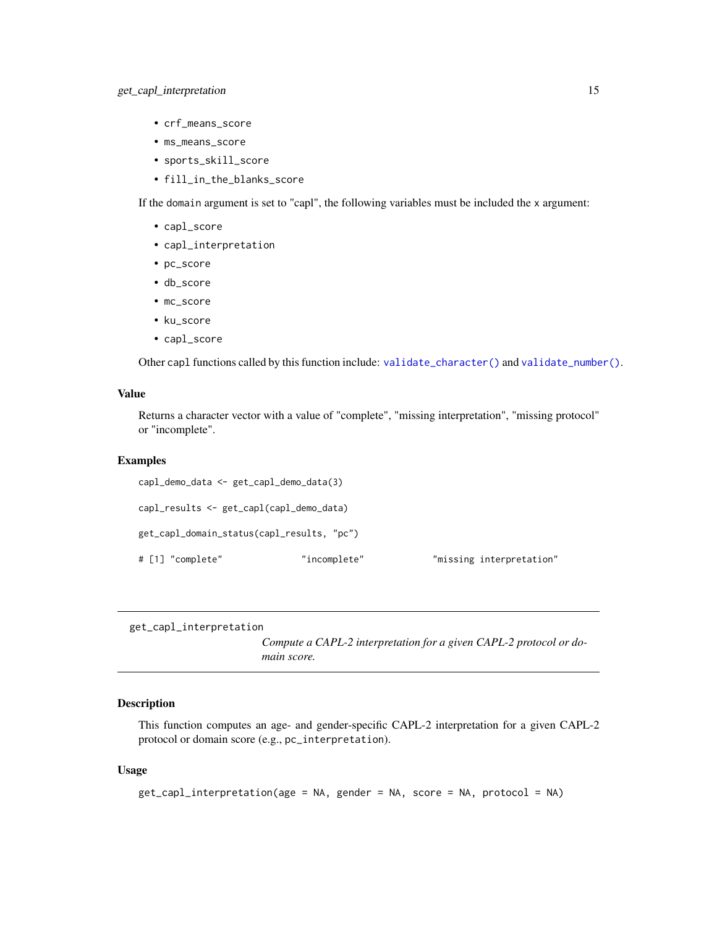- <span id="page-14-0"></span>• crf\_means\_score
- ms\_means\_score
- sports\_skill\_score
- fill\_in\_the\_blanks\_score

If the domain argument is set to "capl", the following variables must be included the x argument:

- capl\_score
- capl\_interpretation
- pc\_score
- db\_score
- mc\_score
- ku\_score
- capl\_score

Other capl functions called by this function include: [validate\\_character\(\)](#page-38-1) and [validate\\_number\(\)](#page-41-2).

# Value

Returns a character vector with a value of "complete", "missing interpretation", "missing protocol" or "incomplete".

#### Examples

```
capl_demo_data <- get_capl_demo_data(3)
capl_results <- get_capl(capl_demo_data)
get_capl_domain_status(capl_results, "pc")
# [1] "complete" "incomplete" "missing interpretation"
```

```
get_capl_interpretation
```
*Compute a CAPL-2 interpretation for a given CAPL-2 protocol or domain score.*

# Description

This function computes an age- and gender-specific CAPL-2 interpretation for a given CAPL-2 protocol or domain score (e.g., pc\_interpretation).

#### Usage

```
get_capl_interpretation(age = NA, gender = NA, score = NA, protocol = NA)
```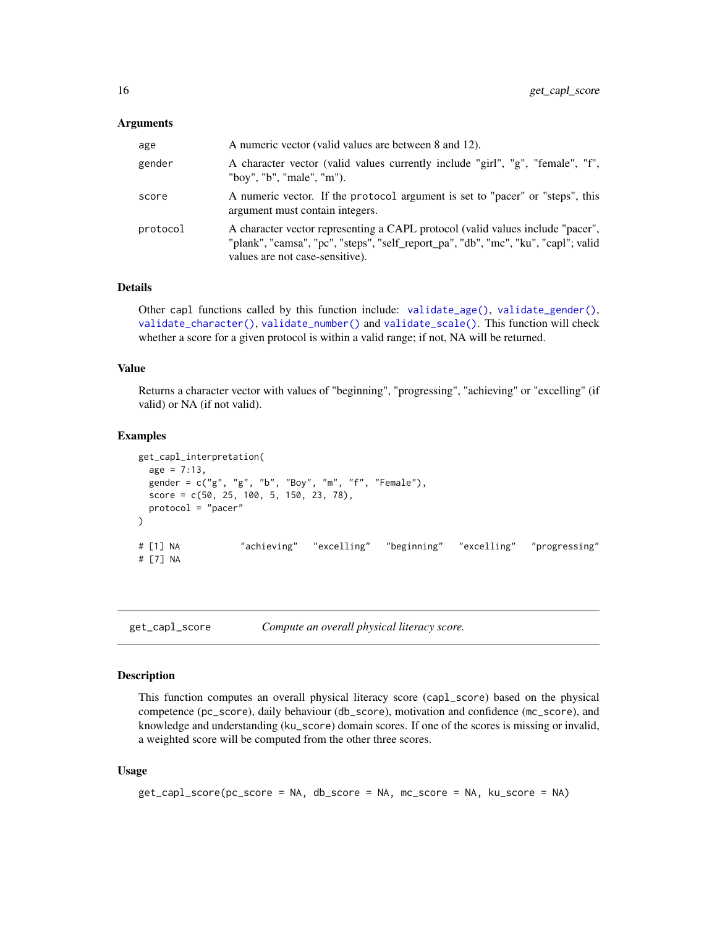#### <span id="page-15-0"></span>**Arguments**

| age      | A numeric vector (valid values are between 8 and 12).                                                                                                                                                   |
|----------|---------------------------------------------------------------------------------------------------------------------------------------------------------------------------------------------------------|
| gender   | A character vector (valid values currently include "girl", "g", "female", "f",<br>"boy", "b", "male", "m").                                                                                             |
| score    | A numeric vector. If the protocol argument is set to "pacer" or "steps", this<br>argument must contain integers.                                                                                        |
| protocol | A character vector representing a CAPL protocol (valid values include "pacer",<br>"plank", "camsa", "pc", "steps", "self_report_pa", "db", "mc", "ku", "capl"; valid<br>values are not case-sensitive). |

# Details

Other capl functions called by this function include: [validate\\_age\(\)](#page-37-1), [validate\\_gender\(\)](#page-39-1), [validate\\_character\(\)](#page-38-1), [validate\\_number\(\)](#page-41-2) and [validate\\_scale\(\)](#page-41-1). This function will check whether a score for a given protocol is within a valid range; if not, NA will be returned.

# Value

Returns a character vector with values of "beginning", "progressing", "achieving" or "excelling" (if valid) or NA (if not valid).

#### Examples

```
get_capl_interpretation(
 age = 7:13,
 gender = c("g", "g", "b", "Boy", "m", "f", "Female"),
 score = c(50, 25, 100, 5, 150, 23, 78),
 protocol = "pacer"
\mathcal{L}# [1] NA "achieving" "excelling" "beginning" "excelling" "progressing"
# [7] NA
```
<span id="page-15-1"></span>get\_capl\_score *Compute an overall physical literacy score.*

# Description

This function computes an overall physical literacy score (capl\_score) based on the physical competence (pc\_score), daily behaviour (db\_score), motivation and confidence (mc\_score), and knowledge and understanding (ku\_score) domain scores. If one of the scores is missing or invalid, a weighted score will be computed from the other three scores.

#### Usage

```
get_capl_score(pc_score = NA, db_score = NA, mc_score = NA, ku_score = NA)
```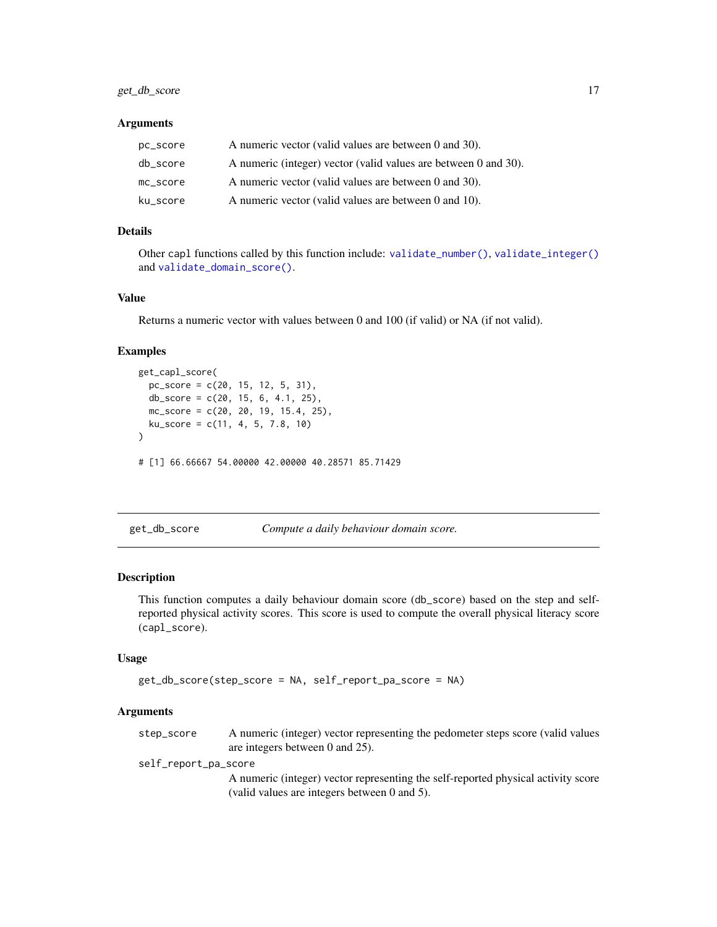# <span id="page-16-0"></span>get\_db\_score 17

#### **Arguments**

| pc_score | A numeric vector (valid values are between 0 and 30).           |
|----------|-----------------------------------------------------------------|
| db_score | A numeric (integer) vector (valid values are between 0 and 30). |
| mc score | A numeric vector (valid values are between 0 and 30).           |
| ku_score | A numeric vector (valid values are between 0 and 10).           |

# Details

Other capl functions called by this function include: [validate\\_number\(\)](#page-41-2), [validate\\_integer\(\)](#page-40-1) and [validate\\_domain\\_score\(\)](#page-39-2).

# Value

Returns a numeric vector with values between 0 and 100 (if valid) or NA (if not valid).

#### Examples

```
get_capl_score(
  pc_score = c(20, 15, 12, 5, 31),
  db_score = c(20, 15, 6, 4.1, 25),
  mc\_score = c(20, 20, 19, 15.4, 25),
  ku\_score = c(11, 4, 5, 7.8, 10)\mathcal{L}# [1] 66.66667 54.00000 42.00000 40.28571 85.71429
```
<span id="page-16-1"></span>get\_db\_score *Compute a daily behaviour domain score.*

#### Description

This function computes a daily behaviour domain score (db\_score) based on the step and selfreported physical activity scores. This score is used to compute the overall physical literacy score (capl\_score).

#### Usage

```
get_db_score(step_score = NA, self_report_pa_score = NA)
```
#### Arguments

step\_score A numeric (integer) vector representing the pedometer steps score (valid values are integers between 0 and 25).

self\_report\_pa\_score

A numeric (integer) vector representing the self-reported physical activity score (valid values are integers between 0 and 5).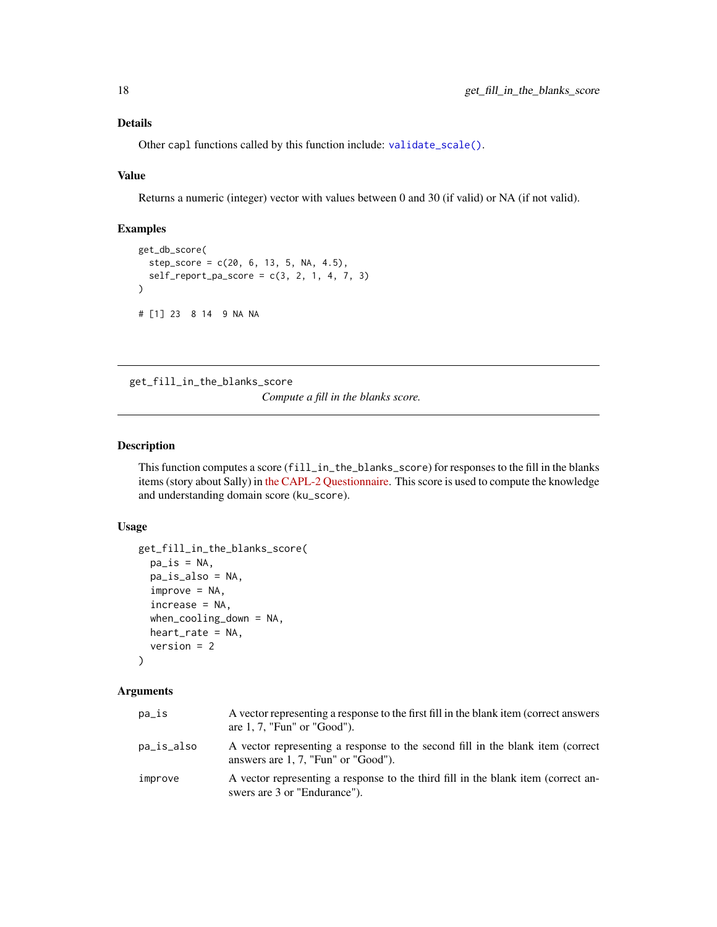# <span id="page-17-0"></span>Details

Other capl functions called by this function include: [validate\\_scale\(\)](#page-41-1).

#### Value

Returns a numeric (integer) vector with values between 0 and 30 (if valid) or NA (if not valid).

# Examples

```
get_db_score(
  step\_score = c(20, 6, 13, 5, NA, 4.5),self\_report\_pa\_score = c(3, 2, 1, 4, 7, 3)\lambda# [1] 23 8 14 9 NA NA
```
<span id="page-17-1"></span>get\_fill\_in\_the\_blanks\_score

*Compute a fill in the blanks score.*

# Description

This function computes a score (fill\_in\_the\_blanks\_score) for responses to the fill in the blanks items (story about Sally) in [the CAPL-2 Questionnaire.](https://www.capl-eclp.ca/wp-content/uploads/2018/02/CAPL-2-questionnaire.pdf) This score is used to compute the knowledge and understanding domain score (ku\_score).

# Usage

```
get_fill_in_the_blanks_score(
 pa_is = NA,pa_is_also = NA,
 improve = NA,
  increase = NA,
 when_cooling_down = NA,
 heart_rate = NA,
  version = 2
)
```
#### Arguments

| pa_is      | A vector representing a response to the first fill in the blank item (correct answers<br>are $1, 7$ , "Fun" or "Good").  |
|------------|--------------------------------------------------------------------------------------------------------------------------|
| pa_is_also | A vector representing a response to the second fill in the blank item (correct<br>answers are $1, 7$ , "Fun" or "Good"). |
| improve    | A vector representing a response to the third fill in the blank item (correct an-<br>swers are 3 or "Endurance").        |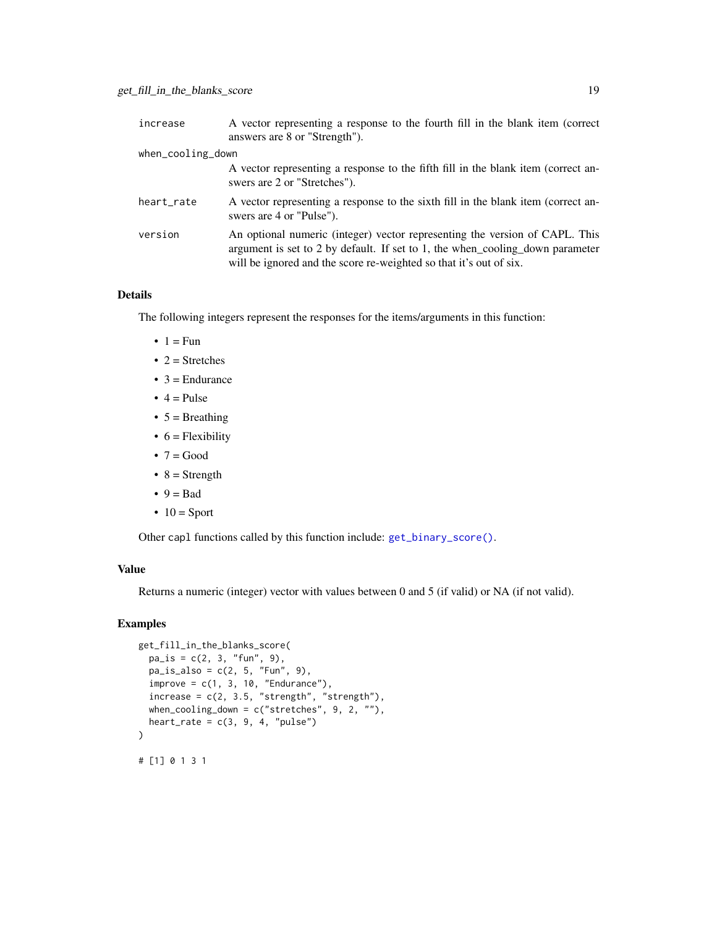<span id="page-18-0"></span>

| increase          | A vector representing a response to the fourth fill in the blank item (correct<br>answers are 8 or "Strength").                                                                                                                    |
|-------------------|------------------------------------------------------------------------------------------------------------------------------------------------------------------------------------------------------------------------------------|
| when_cooling_down |                                                                                                                                                                                                                                    |
|                   | A vector representing a response to the fifth fill in the blank item (correct an-<br>swers are 2 or "Stretches").                                                                                                                  |
| heart_rate        | A vector representing a response to the sixth fill in the blank item (correct an-<br>swers are 4 or "Pulse").                                                                                                                      |
| version           | An optional numeric (integer) vector representing the version of CAPL. This<br>argument is set to 2 by default. If set to 1, the when cooling down parameter<br>will be ignored and the score re-weighted so that it's out of six. |

# Details

The following integers represent the responses for the items/arguments in this function:

- $\bullet$  1 = Fun
- $2 =$  Stretches
- $\bullet$  3 = Endurance
- $\bullet$  4 = Pulse
- $5 =$  Breathing
- $6$  = Flexibility
- $7 = Good$
- $8 =$  Strength
- $\bullet$  9 = Bad
- $\bullet$  10 = Sport

Other capl functions called by this function include: [get\\_binary\\_score\(\)](#page-5-1).

# Value

Returns a numeric (integer) vector with values between 0 and 5 (if valid) or NA (if not valid).

```
get_fill_in_the_blanks_score(
 pa_is = c(2, 3, "fun", 9),pa_is_also = c(2, 5, "Fun", 9),improve = c(1, 3, 10, "Endurance"),increase = c(2, 3.5, "strength", "strength"),when_cooling_down = c("stretches", 9, 2, ""),heart_rate = c(3, 9, 4, "pulse")\mathcal{L}# [1] 0 1 3 1
```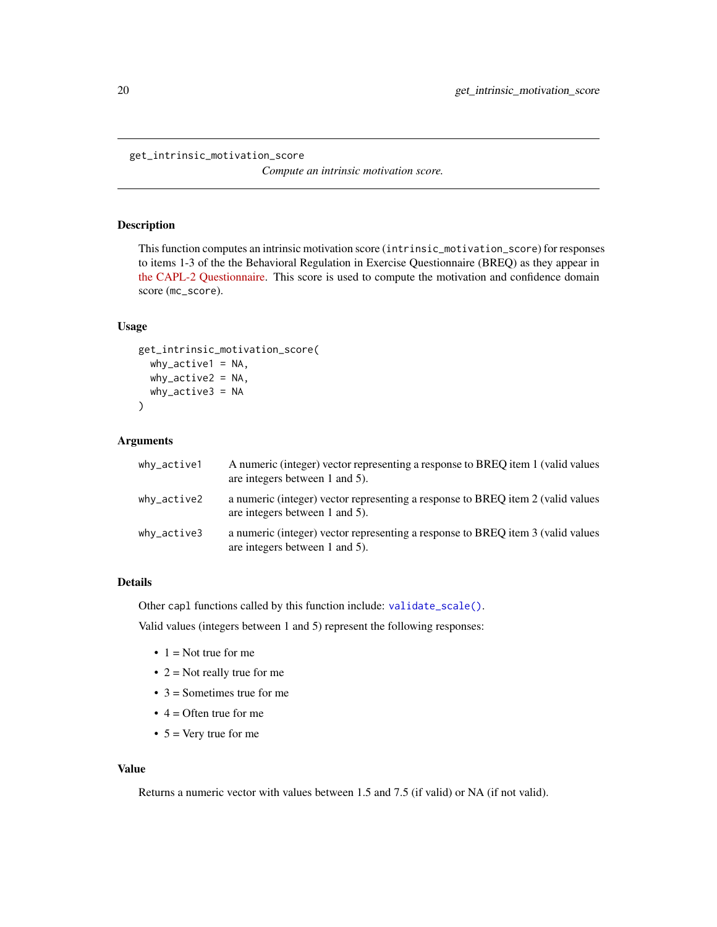```
get_intrinsic_motivation_score
```
*Compute an intrinsic motivation score.*

# Description

This function computes an intrinsic motivation score (intrinsic\_motivation\_score) for responses to items 1-3 of the the Behavioral Regulation in Exercise Questionnaire (BREQ) as they appear in [the CAPL-2 Questionnaire.](https://www.capl-eclp.ca/wp-content/uploads/2018/02/CAPL-2-questionnaire.pdf) This score is used to compute the motivation and confidence domain score (mc\_score).

#### Usage

```
get_intrinsic_motivation_score(
  why_active1 = NA,
  why_active2 = NA,
  why_active3 = NA
\mathcal{L}
```
# Arguments

| why_active1 | A numeric (integer) vector representing a response to BREQ item 1 (valid values<br>are integers between 1 and 5). |
|-------------|-------------------------------------------------------------------------------------------------------------------|
| why_active2 | a numeric (integer) vector representing a response to BREQ item 2 (valid values<br>are integers between 1 and 5). |
| why_active3 | a numeric (integer) vector representing a response to BREQ item 3 (valid values<br>are integers between 1 and 5). |

# Details

Other capl functions called by this function include: [validate\\_scale\(\)](#page-41-1).

Valid values (integers between 1 and 5) represent the following responses:

- $\bullet$  1 = Not true for me
- $2 =$  Not really true for me
- $3 =$  Sometimes true for me
- $\bullet$  4 = Often true for me
- $5 = \text{Very true for me}$

#### Value

Returns a numeric vector with values between 1.5 and 7.5 (if valid) or NA (if not valid).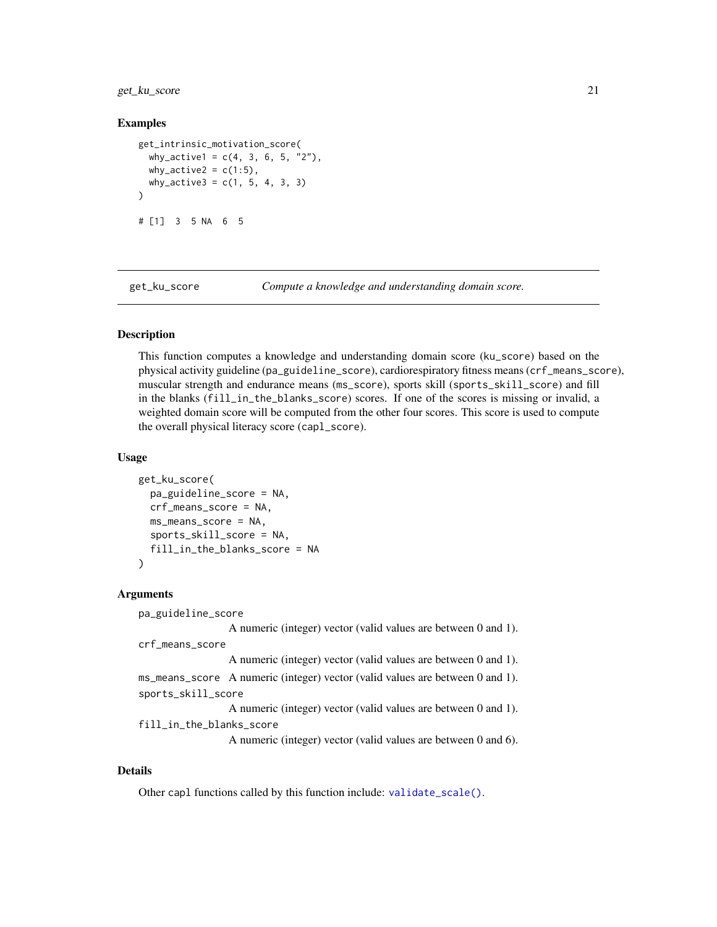<span id="page-20-0"></span>get\_ku\_score 21

#### Examples

```
get_intrinsic_motivation_score(
 why_active1 = c(4, 3, 6, 5, "2"),
 why_active2 = c(1:5),
 why_active3 = c(1, 5, 4, 3, 3))
# [1] 3 5 NA 6 5
```
<span id="page-20-1"></span>

get\_ku\_score *Compute a knowledge and understanding domain score.*

# **Description**

This function computes a knowledge and understanding domain score (ku\_score) based on the physical activity guideline (pa\_guideline\_score), cardiorespiratory fitness means (crf\_means\_score), muscular strength and endurance means (ms\_score), sports skill (sports\_skill\_score) and fill in the blanks (fill\_in\_the\_blanks\_score) scores. If one of the scores is missing or invalid, a weighted domain score will be computed from the other four scores. This score is used to compute the overall physical literacy score (capl\_score).

#### Usage

```
get_ku_score(
  pa_guideline_score = NA,
  crf_means_score = NA,
  ms_means_score = NA,
  sports_skill_score = NA,
  fill_in_the_blanks_score = NA
)
```
#### Arguments

```
pa_guideline_score
                  A numeric (integer) vector (valid values are between 0 and 1).
crf_means_score
                  A numeric (integer) vector (valid values are between 0 and 1).
ms_means_score A numeric (integer) vector (valid values are between 0 and 1).
sports_skill_score
                  A numeric (integer) vector (valid values are between 0 and 1).
fill_in_the_blanks_score
                  A numeric (integer) vector (valid values are between 0 and 6).
```
#### Details

Other capl functions called by this function include: [validate\\_scale\(\)](#page-41-1).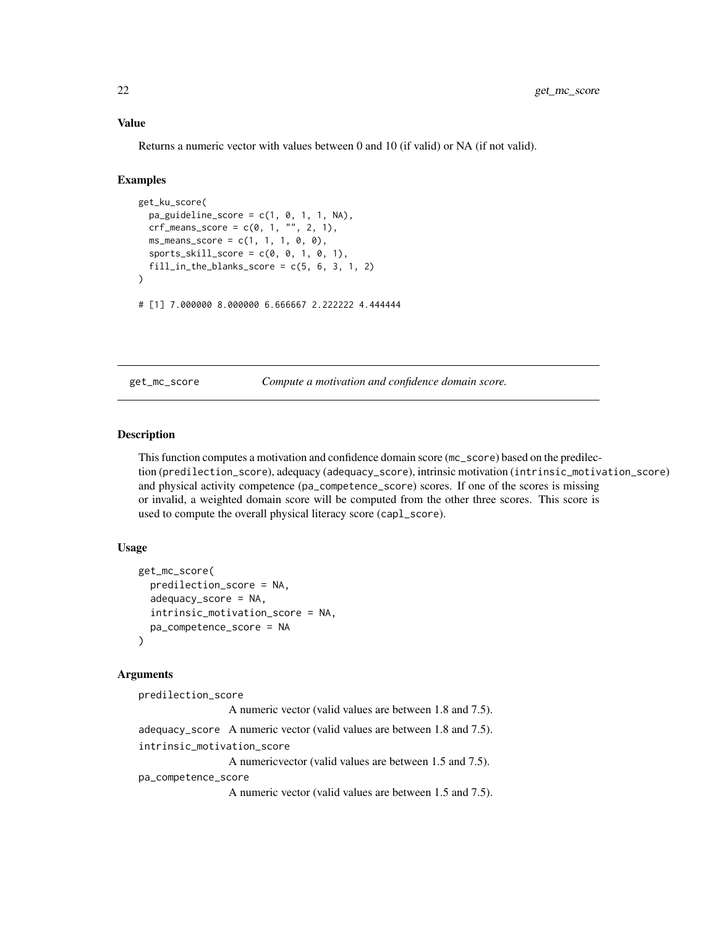# Value

Returns a numeric vector with values between 0 and 10 (if valid) or NA (if not valid).

# Examples

```
get_ku_score(
  pa\_guideline\_score = c(1, 0, 1, 1, NA),crf_{\text{means\_score}} = c(0, 1, \sqrt{"", 2, 1}),ms\_means\_score = c(1, 1, 1, 0, 0),sports_skill_score = c(0, 0, 1, 0, 1),
  fill\_in\_the\_blanks\_score = c(5, 6, 3, 1, 2))
# [1] 7.000000 8.000000 6.666667 2.222222 4.444444
```
<span id="page-21-1"></span>get\_mc\_score *Compute a motivation and confidence domain score.*

#### Description

This function computes a motivation and confidence domain score (mc\_score) based on the predilection (predilection\_score), adequacy (adequacy\_score), intrinsic motivation (intrinsic\_motivation\_score) and physical activity competence (pa\_competence\_score) scores. If one of the scores is missing or invalid, a weighted domain score will be computed from the other three scores. This score is used to compute the overall physical literacy score (capl\_score).

# Usage

```
get_mc_score(
  predilection_score = NA,
  adequacy_score = NA,
  intrinsic_motivation_score = NA,
 pa_competence_score = NA
\lambda
```
# Arguments

```
predilection_score
                  A numeric vector (valid values are between 1.8 and 7.5).
adequacy_score A numeric vector (valid values are between 1.8 and 7.5).
intrinsic_motivation_score
                  A numericvector (valid values are between 1.5 and 7.5).
pa_competence_score
                 A numeric vector (valid values are between 1.5 and 7.5).
```
<span id="page-21-0"></span>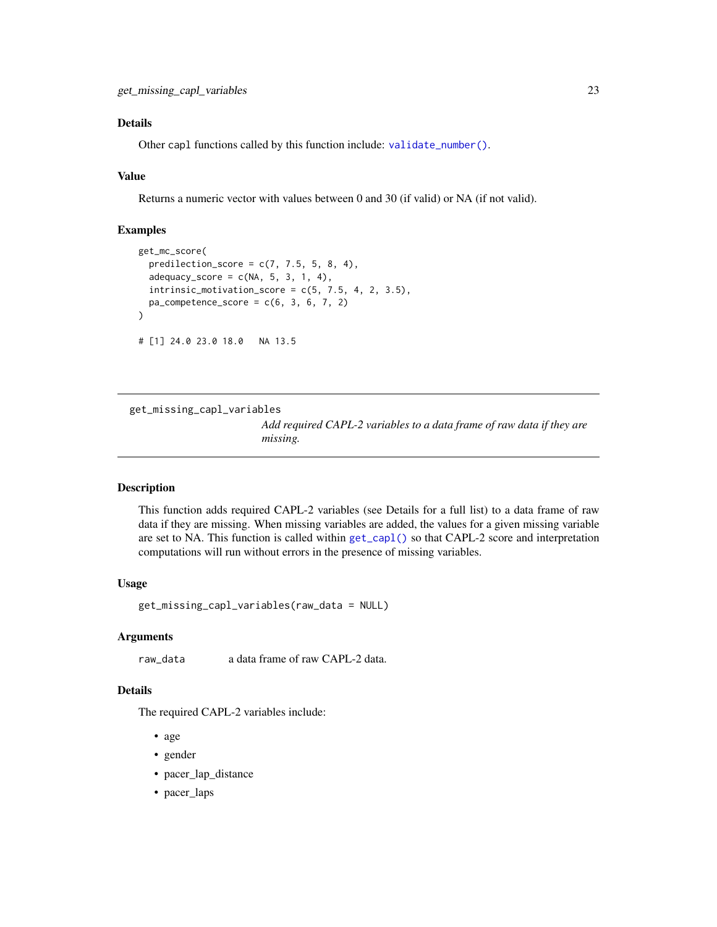# <span id="page-22-0"></span>Details

Other capl functions called by this function include: [validate\\_number\(\)](#page-41-2).

#### Value

Returns a numeric vector with values between 0 and 30 (if valid) or NA (if not valid).

# Examples

```
get_mc_score(
 predilection_score = c(7, 7.5, 5, 8, 4),
 adequacy_score = c(NA, 5, 3, 1, 4),intrinsic_motivation_score = c(5, 7.5, 4, 2, 3.5),pa\_complete\_score = c(6, 3, 6, 7, 2)\mathcal{E}# [1] 24.0 23.0 18.0 NA 13.5
```
<span id="page-22-1"></span>get\_missing\_capl\_variables

*Add required CAPL-2 variables to a data frame of raw data if they are missing.*

#### Description

This function adds required CAPL-2 variables (see Details for a full list) to a data frame of raw data if they are missing. When missing variables are added, the values for a given missing variable are set to NA. This function is called within [get\\_capl\(\)](#page-9-1) so that CAPL-2 score and interpretation computations will run without errors in the presence of missing variables.

# Usage

get\_missing\_capl\_variables(raw\_data = NULL)

# Arguments

raw\_data a data frame of raw CAPL-2 data.

# Details

The required CAPL-2 variables include:

- age
- gender
- pacer\_lap\_distance
- pacer\_laps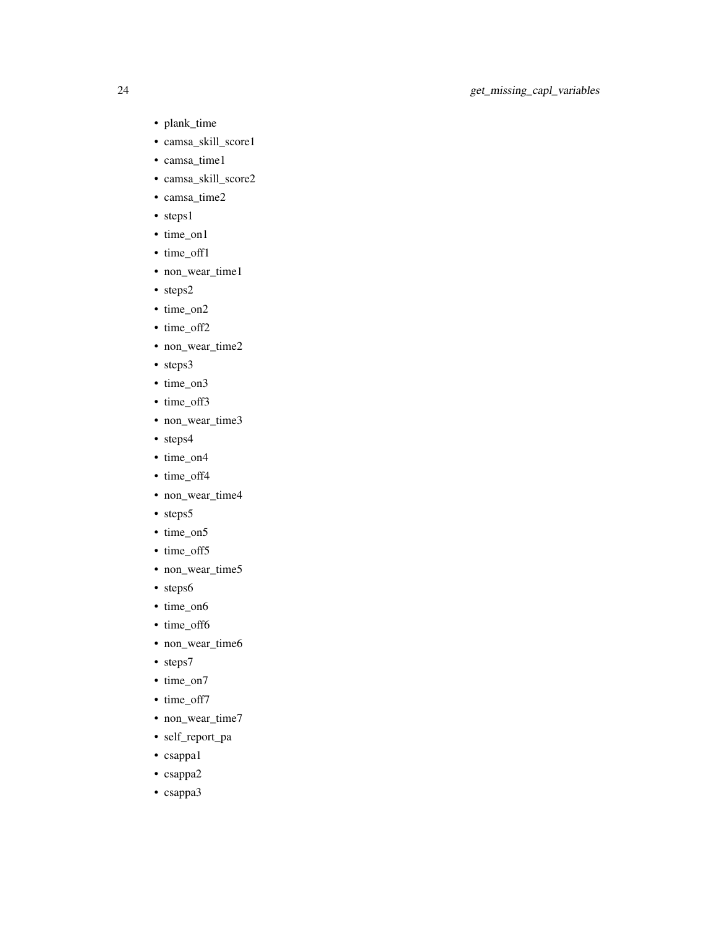- plank\_time
- camsa\_skill\_score1
- camsa\_time1
- camsa\_skill\_score2
- camsa\_time2
- steps1
- time\_on1
- time\_off1
- non\_wear\_time1
- steps2
- time\_on2
- time\_off2
- non\_wear\_time2
- steps3
- time\_on3
- time\_off3
- non\_wear\_time3
- steps4
- time\_on4
- time\_off4
- non\_wear\_time4
- steps5
- time\_on5
- time\_off5
- non\_wear\_time5
- steps6
- time\_on6
- time\_off6
- non\_wear\_time6
- steps7
- time\_on7
- time\_off7
- non\_wear\_time7
- self\_report\_pa
- csappa1
- csappa2
- csappa3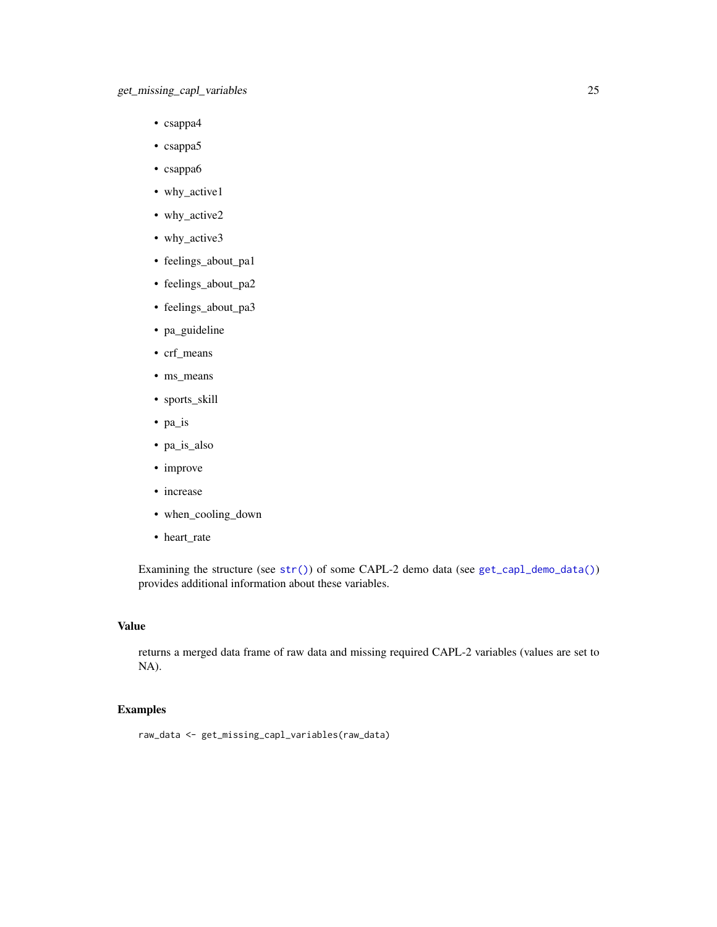- <span id="page-24-0"></span>• csappa4
- csappa5
- csappa6
- why\_active1
- why\_active2
- why\_active3
- feelings\_about\_pa1
- feelings\_about\_pa2
- feelings\_about\_pa3
- pa\_guideline
- crf\_means
- ms\_means
- sports\_skill
- pa\_is
- pa\_is\_also
- improve
- increase
- when\_cooling\_down
- heart\_rate

Examining the structure (see [str\(\)](#page-0-0)) of some CAPL-2 demo data (see [get\\_capl\\_demo\\_data\(\)](#page-11-1)) provides additional information about these variables.

# Value

returns a merged data frame of raw data and missing required CAPL-2 variables (values are set to NA).

```
raw_data <- get_missing_capl_variables(raw_data)
```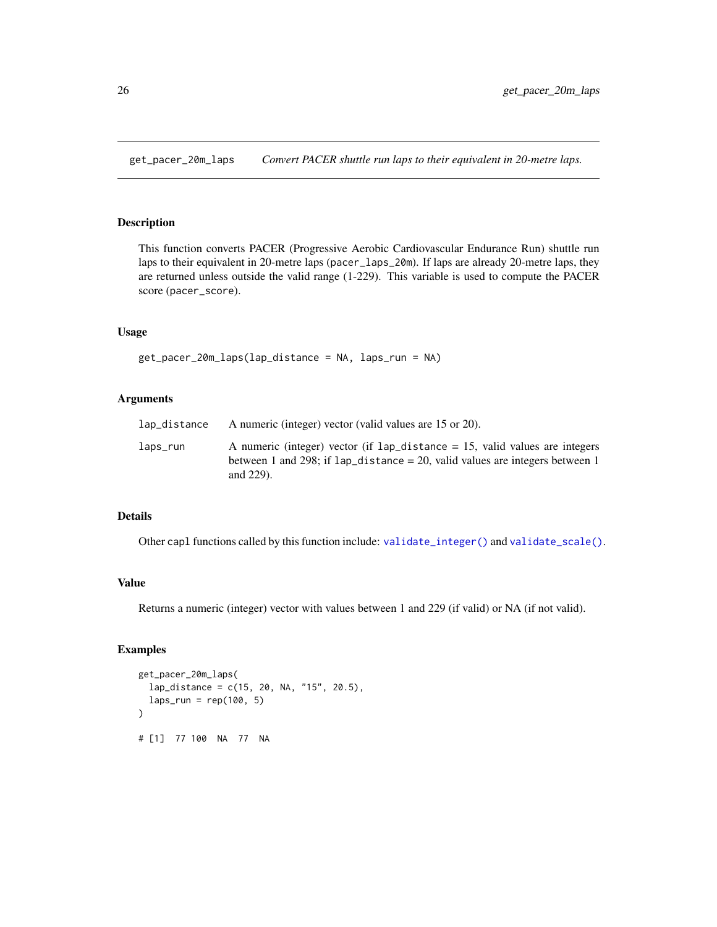<span id="page-25-1"></span><span id="page-25-0"></span>get\_pacer\_20m\_laps *Convert PACER shuttle run laps to their equivalent in 20-metre laps.*

#### Description

This function converts PACER (Progressive Aerobic Cardiovascular Endurance Run) shuttle run laps to their equivalent in 20-metre laps (pacer\_laps\_20m). If laps are already 20-metre laps, they are returned unless outside the valid range (1-229). This variable is used to compute the PACER score (pacer\_score).

# Usage

```
get_pacer_20m_laps(lap_distance = NA, laps_run = NA)
```
# Arguments

| lap_distance | A numeric (integer) vector (valid values are 15 or 20).                                                                                                                             |
|--------------|-------------------------------------------------------------------------------------------------------------------------------------------------------------------------------------|
| laps_run     | A numeric (integer) vector (if $1ap\_distance = 15$ , valid values are integers<br>between 1 and 298; if $lap\_distance = 20$ , valid values are integers between 1<br>and $229$ ). |

# Details

Other capl functions called by this function include: [validate\\_integer\(\)](#page-40-1) and [validate\\_scale\(\)](#page-41-1).

# Value

Returns a numeric (integer) vector with values between 1 and 229 (if valid) or NA (if not valid).

```
get_pacer_20m_laps(
 lap_distance = c(15, 20, NA, "15", 20.5),
 laps_run = rep(100, 5))
# [1] 77 100 NA 77 NA
```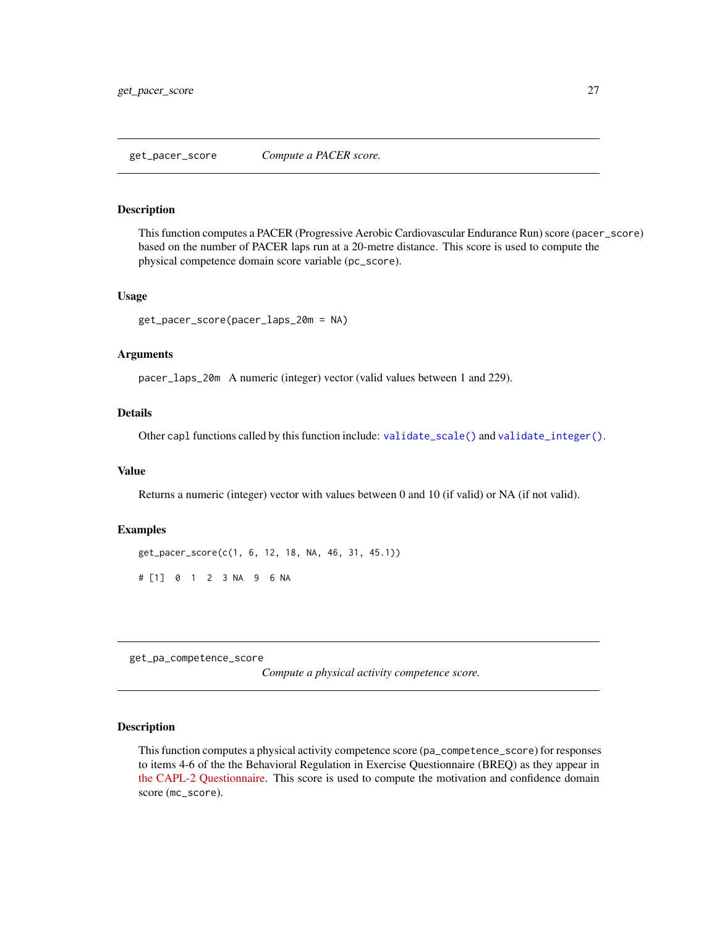#### <span id="page-26-1"></span><span id="page-26-0"></span>Description

This function computes a PACER (Progressive Aerobic Cardiovascular Endurance Run) score (pacer\_score) based on the number of PACER laps run at a 20-metre distance. This score is used to compute the physical competence domain score variable (pc\_score).

#### Usage

```
get_pacer_score(pacer_laps_20m = NA)
```
#### Arguments

pacer\_laps\_20m A numeric (integer) vector (valid values between 1 and 229).

# Details

Other capl functions called by this function include: [validate\\_scale\(\)](#page-41-1) and [validate\\_integer\(\)](#page-40-1).

#### Value

Returns a numeric (integer) vector with values between 0 and 10 (if valid) or NA (if not valid).

#### Examples

get\_pacer\_score(c(1, 6, 12, 18, NA, 46, 31, 45.1))

# [1] 0 1 2 3 NA 9 6 NA

<span id="page-26-2"></span>get\_pa\_competence\_score

*Compute a physical activity competence score.*

# Description

This function computes a physical activity competence score (pa\_competence\_score) for responses to items 4-6 of the the Behavioral Regulation in Exercise Questionnaire (BREQ) as they appear in [the CAPL-2 Questionnaire.](https://www.capl-eclp.ca/wp-content/uploads/2018/02/CAPL-2-questionnaire.pdf) This score is used to compute the motivation and confidence domain score (mc\_score).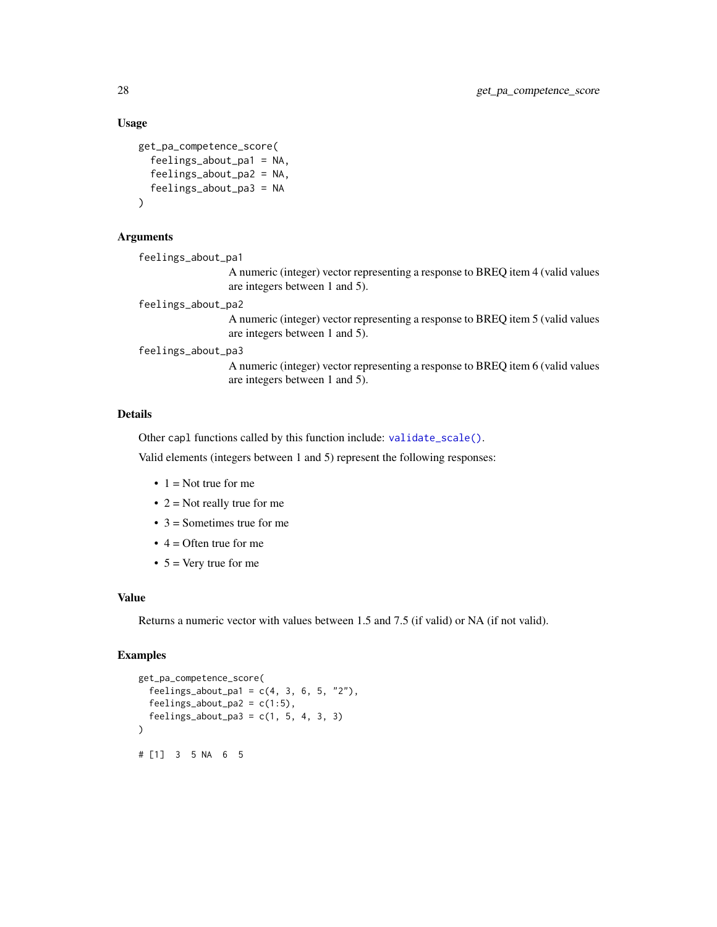#### Usage

```
get_pa_competence_score(
  feelings_about_pa1 = NA,
  feelings_about_pa2 = NA,
  feelings_about_pa3 = NA
\lambda
```
# Arguments

```
feelings_about_pa1
```
A numeric (integer) vector representing a response to BREQ item 4 (valid values are integers between 1 and 5).

```
feelings_about_pa2
```
A numeric (integer) vector representing a response to BREQ item 5 (valid values are integers between 1 and 5).

#### feelings\_about\_pa3

A numeric (integer) vector representing a response to BREQ item 6 (valid values are integers between 1 and 5).

# Details

Other capl functions called by this function include: [validate\\_scale\(\)](#page-41-1).

Valid elements (integers between 1 and 5) represent the following responses:

- $\bullet$  1 = Not true for me
- $2 =$  Not really true for me
- $3 =$  Sometimes true for me
- $\bullet$  4 = Often true for me
- $5 = \text{Very true}$  for me

# Value

Returns a numeric vector with values between 1.5 and 7.5 (if valid) or NA (if not valid).

```
get_pa_competence_score(
 feelings_about_pa1 = c(4, 3, 6, 5, "2"),
 feelings_about_pa2 = c(1:5),
 feelings_about_pa3 = c(1, 5, 4, 3, 3)
)
# [1] 3 5 NA 6 5
```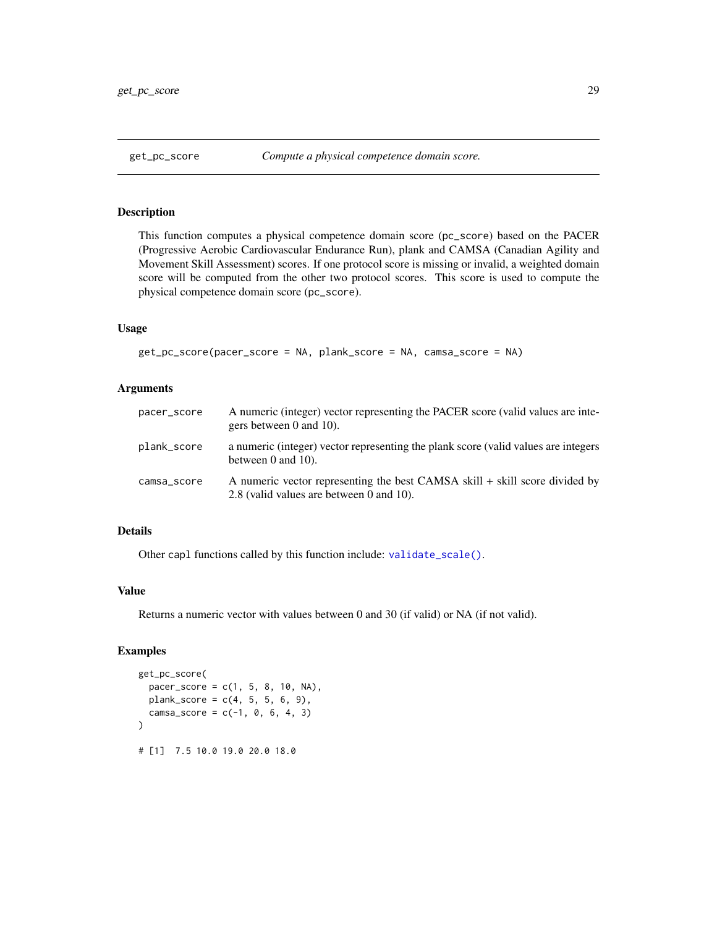# <span id="page-28-1"></span><span id="page-28-0"></span>Description

This function computes a physical competence domain score (pc\_score) based on the PACER (Progressive Aerobic Cardiovascular Endurance Run), plank and CAMSA (Canadian Agility and Movement Skill Assessment) scores. If one protocol score is missing or invalid, a weighted domain score will be computed from the other two protocol scores. This score is used to compute the physical competence domain score (pc\_score).

# Usage

```
get_pc_score(pacer_score = NA, plank_score = NA, camsa_score = NA)
```
#### Arguments

| pacer_score | A numeric (integer) vector representing the PACER score (valid values are inte-<br>gers between 0 and 10).              |
|-------------|-------------------------------------------------------------------------------------------------------------------------|
| plank_score | a numeric (integer) vector representing the plank score (valid values are integers<br>between $0$ and $10$ ).           |
| camsa_score | A numeric vector representing the best CAMSA skill + skill score divided by<br>2.8 (valid values are between 0 and 10). |

# Details

Other capl functions called by this function include: [validate\\_scale\(\)](#page-41-1).

### Value

Returns a numeric vector with values between 0 and 30 (if valid) or NA (if not valid).

```
get_pc_score(
 pacer_score = c(1, 5, 8, 10, NA),plank_score = c(4, 5, 5, 6, 9),camsa_score = c(-1, 0, 6, 4, 3))
# [1] 7.5 10.0 19.0 20.0 18.0
```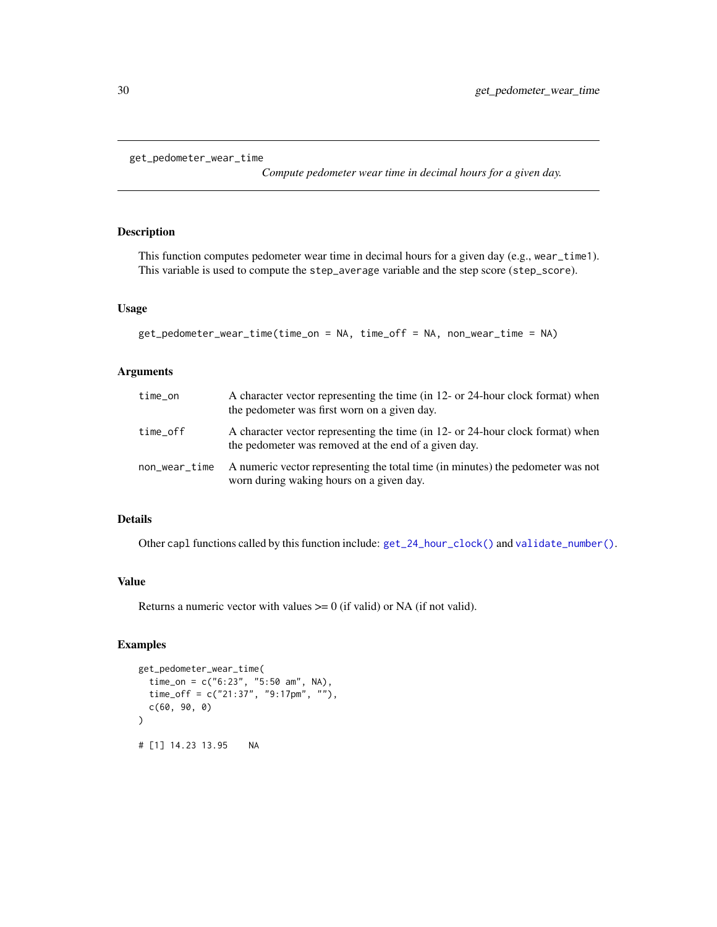```
get_pedometer_wear_time
```
*Compute pedometer wear time in decimal hours for a given day.*

# Description

This function computes pedometer wear time in decimal hours for a given day (e.g., wear\_time1). This variable is used to compute the step\_average variable and the step score (step\_score).

#### Usage

```
get_pedometer_wear_time(time_on = NA, time_off = NA, non_wear_time = NA)
```
#### Arguments

| time_on       | A character vector representing the time (in 12- or 24-hour clock format) when<br>the pedometer was first worn on a given day.         |
|---------------|----------------------------------------------------------------------------------------------------------------------------------------|
| time_off      | A character vector representing the time (in 12- or 24-hour clock format) when<br>the pedometer was removed at the end of a given day. |
| non_wear_time | A numeric vector representing the total time (in minutes) the pedometer was not<br>worn during waking hours on a given day.            |

#### Details

Other capl functions called by this function include: [get\\_24\\_hour\\_clock\(\)](#page-3-1) and [validate\\_number\(\)](#page-41-2).

#### Value

Returns a numeric vector with values  $\geq 0$  (if valid) or NA (if not valid).

```
get_pedometer_wear_time(
  time_on = c("6:23", "5:50 am", NA),
  time_off = c("21:37", "9:17pm", ""),
  c(60, 90, 0)
\mathcal{L}# [1] 14.23 13.95 NA
```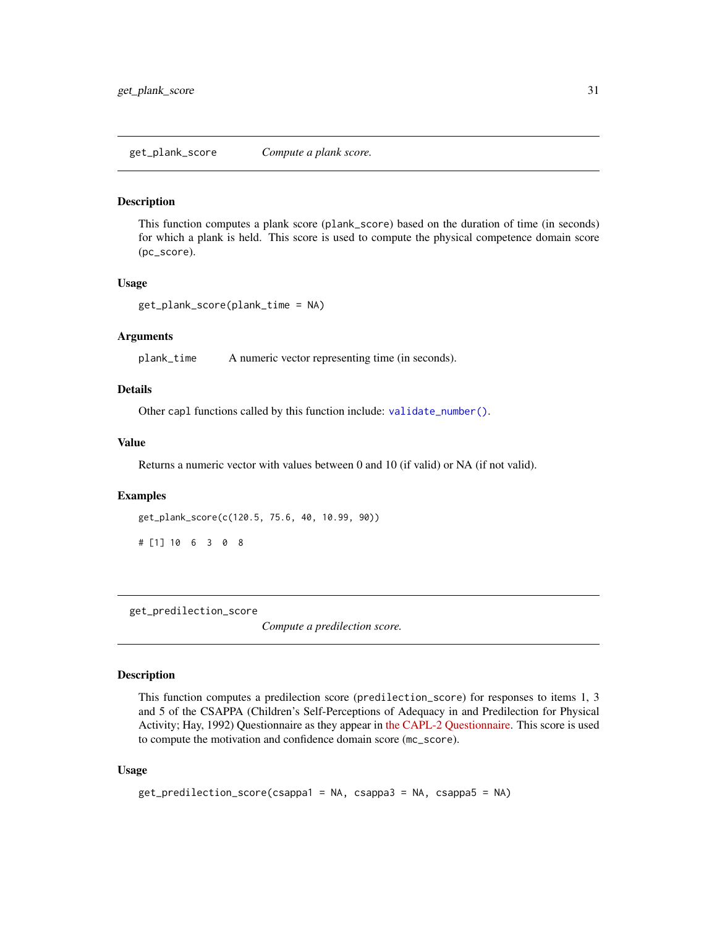#### <span id="page-30-1"></span><span id="page-30-0"></span>Description

This function computes a plank score (plank\_score) based on the duration of time (in seconds) for which a plank is held. This score is used to compute the physical competence domain score (pc\_score).

#### Usage

```
get_plank_score(plank_time = NA)
```
#### Arguments

plank\_time A numeric vector representing time (in seconds).

#### Details

Other capl functions called by this function include: [validate\\_number\(\)](#page-41-2).

# Value

Returns a numeric vector with values between 0 and 10 (if valid) or NA (if not valid).

#### Examples

```
get_plank_score(c(120.5, 75.6, 40, 10.99, 90))
```

```
# [1] 10 6 3 0 8
```
<span id="page-30-2"></span>get\_predilection\_score

*Compute a predilection score.*

# Description

This function computes a predilection score (predilection\_score) for responses to items 1, 3 and 5 of the CSAPPA (Children's Self-Perceptions of Adequacy in and Predilection for Physical Activity; Hay, 1992) Questionnaire as they appear in [the CAPL-2 Questionnaire.](https://www.capl-eclp.ca/wp-content/uploads/2018/02/CAPL-2-questionnaire.pdf) This score is used to compute the motivation and confidence domain score (mc\_score).

# Usage

```
get_predilection_score(csappa1 = NA, csappa3 = NA, csappa5 = NA)
```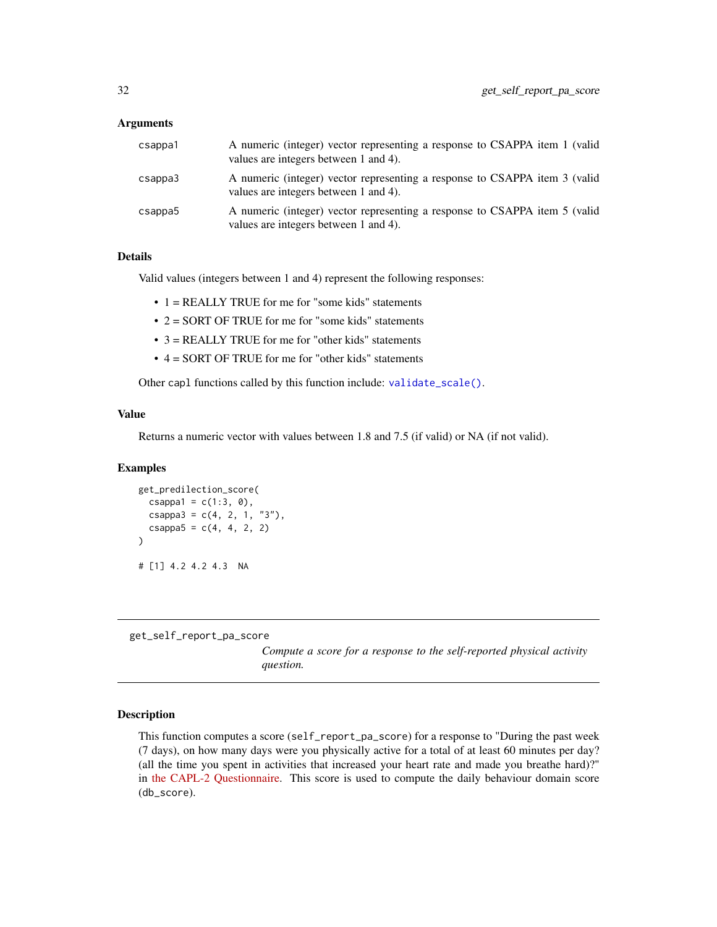### <span id="page-31-0"></span>Arguments

| csappa1 | A numeric (integer) vector representing a response to CSAPPA item 1 (valid<br>values are integers between 1 and 4). |
|---------|---------------------------------------------------------------------------------------------------------------------|
| csappa3 | A numeric (integer) vector representing a response to CSAPPA item 3 (valid<br>values are integers between 1 and 4). |
| csappa5 | A numeric (integer) vector representing a response to CSAPPA item 5 (valid<br>values are integers between 1 and 4). |

# Details

Valid values (integers between 1 and 4) represent the following responses:

- 1 = REALLY TRUE for me for "some kids" statements
- 2 = SORT OF TRUE for me for "some kids" statements
- 3 = REALLY TRUE for me for "other kids" statements
- 4 = SORT OF TRUE for me for "other kids" statements

Other capl functions called by this function include: [validate\\_scale\(\)](#page-41-1).

#### Value

Returns a numeric vector with values between 1.8 and 7.5 (if valid) or NA (if not valid).

#### Examples

```
get_predilection_score(
  csappa1 = c(1:3, 0),
  csappa3 = c(4, 2, 1, "3"),
  csappa5 = c(4, 4, 2, 2))
# [1] 4.2 4.2 4.3 NA
```
<span id="page-31-1"></span>get\_self\_report\_pa\_score

*Compute a score for a response to the self-reported physical activity question.*

# Description

This function computes a score (self\_report\_pa\_score) for a response to "During the past week (7 days), on how many days were you physically active for a total of at least 60 minutes per day? (all the time you spent in activities that increased your heart rate and made you breathe hard)?" in [the CAPL-2 Questionnaire.](https://www.capl-eclp.ca/wp-content/uploads/2018/02/CAPL-2-questionnaire.pdf) This score is used to compute the daily behaviour domain score (db\_score).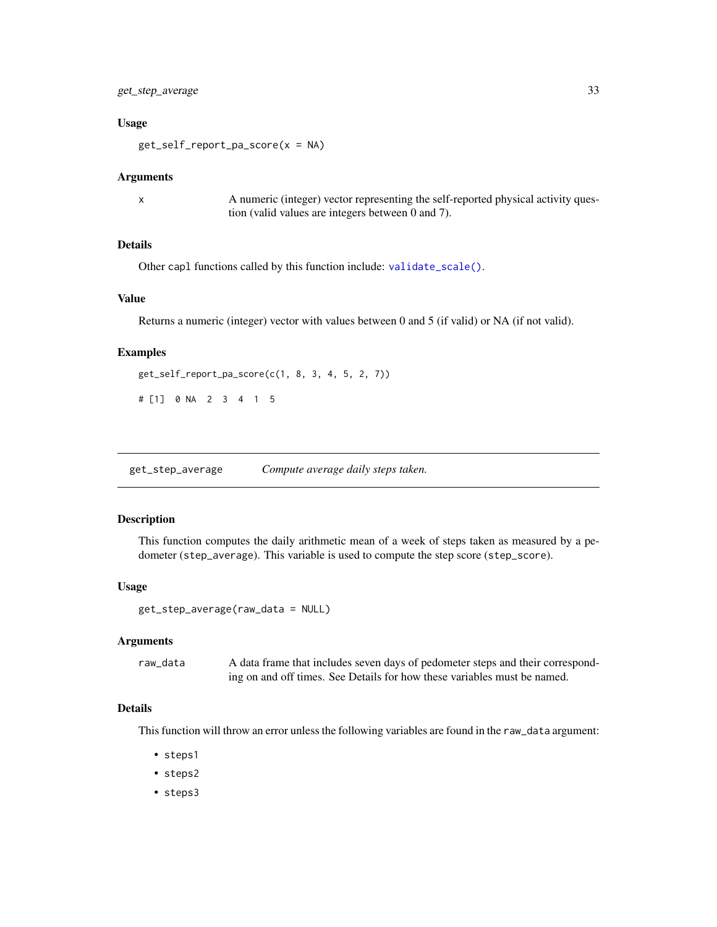# <span id="page-32-0"></span>get\_step\_average 33

#### Usage

get\_self\_report\_pa\_score(x = NA)

#### Arguments

x A numeric (integer) vector representing the self-reported physical activity question (valid values are integers between 0 and 7).

# Details

Other capl functions called by this function include: [validate\\_scale\(\)](#page-41-1).

# Value

Returns a numeric (integer) vector with values between 0 and 5 (if valid) or NA (if not valid).

#### Examples

```
get_self_report_pa_score(c(1, 8, 3, 4, 5, 2, 7))
```
# [1] 0 NA 2 3 4 1 5

<span id="page-32-1"></span>get\_step\_average *Compute average daily steps taken.*

#### Description

This function computes the daily arithmetic mean of a week of steps taken as measured by a pedometer (step\_average). This variable is used to compute the step score (step\_score).

#### Usage

get\_step\_average(raw\_data = NULL)

#### Arguments

raw\_data A data frame that includes seven days of pedometer steps and their corresponding on and off times. See Details for how these variables must be named.

# Details

This function will throw an error unless the following variables are found in the raw\_data argument:

- steps1
- steps2
- steps3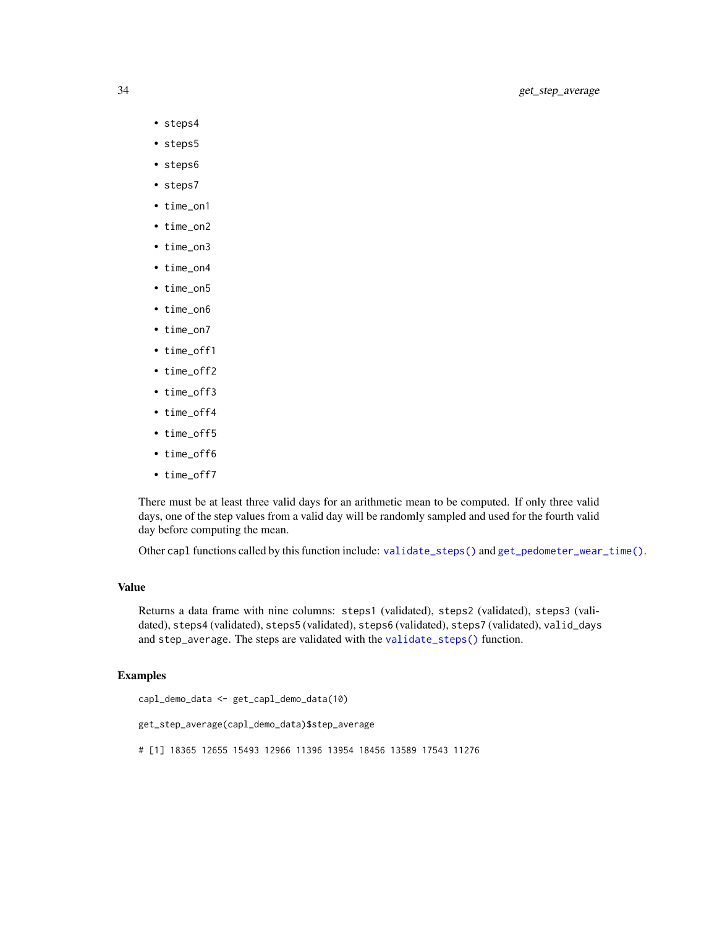- <span id="page-33-0"></span>• steps4
- steps5
- steps6
- steps7
- time\_on1
- time\_on2
- time\_on3
- time\_on4
- time\_on5
- time\_on6
- time\_on7
- time\_off1
- time\_off2
- time\_off3
- time\_off4
- time off5
- time\_off6
- time\_off7

There must be at least three valid days for an arithmetic mean to be computed. If only three valid days, one of the step values from a valid day will be randomly sampled and used for the fourth valid day before computing the mean.

Other capl functions called by this function include: [validate\\_steps\(\)](#page-42-1) and [get\\_pedometer\\_wear\\_time\(\)](#page-29-1).

# Value

Returns a data frame with nine columns: steps1 (validated), steps2 (validated), steps3 (validated), steps4 (validated), steps5 (validated), steps6 (validated), steps7 (validated), valid\_days and step\_average. The steps are validated with the [validate\\_steps\(\)](#page-42-1) function.

```
capl_demo_data <- get_capl_demo_data(10)
get_step_average(capl_demo_data)$step_average
# [1] 18365 12655 15493 12966 11396 13954 18456 13589 17543 11276
```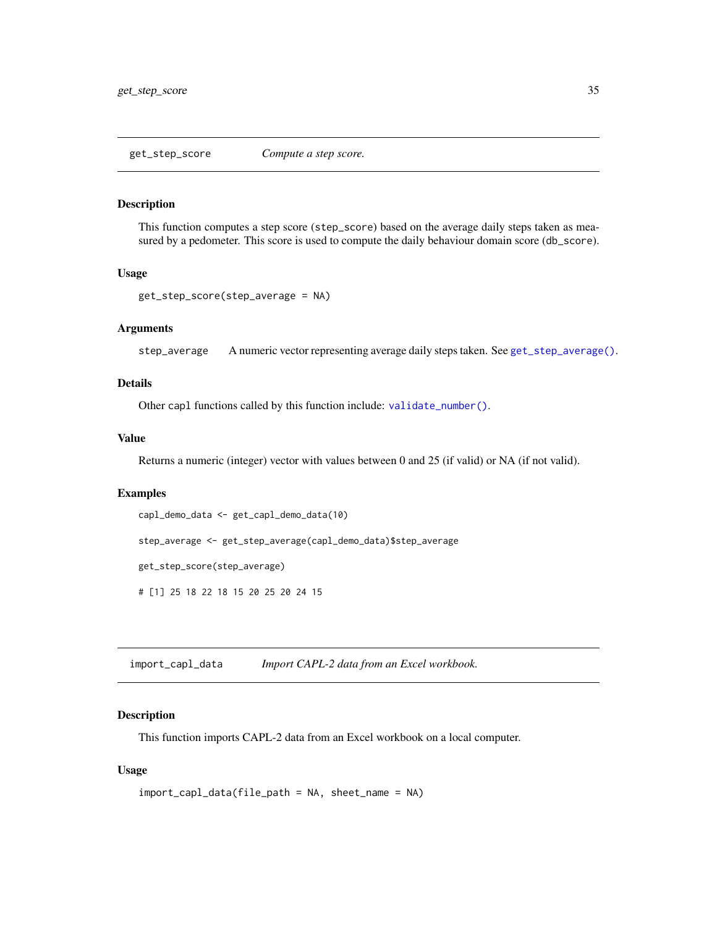#### <span id="page-34-1"></span><span id="page-34-0"></span>Description

This function computes a step score (step\_score) based on the average daily steps taken as measured by a pedometer. This score is used to compute the daily behaviour domain score (db\_score).

#### Usage

```
get_step_score(step_average = NA)
```
# Arguments

step\_average A numeric vector representing average daily steps taken. See [get\\_step\\_average\(\)](#page-32-1).

#### Details

Other capl functions called by this function include: [validate\\_number\(\)](#page-41-2).

### Value

Returns a numeric (integer) vector with values between 0 and 25 (if valid) or NA (if not valid).

#### Examples

```
capl_demo_data <- get_capl_demo_data(10)
```
step\_average <- get\_step\_average(capl\_demo\_data)\$step\_average

get\_step\_score(step\_average)

# [1] 25 18 22 18 15 20 25 20 24 15

import\_capl\_data *Import CAPL-2 data from an Excel workbook.*

# Description

This function imports CAPL-2 data from an Excel workbook on a local computer.

# Usage

```
import_capl_data(file_path = NA, sheet_name = NA)
```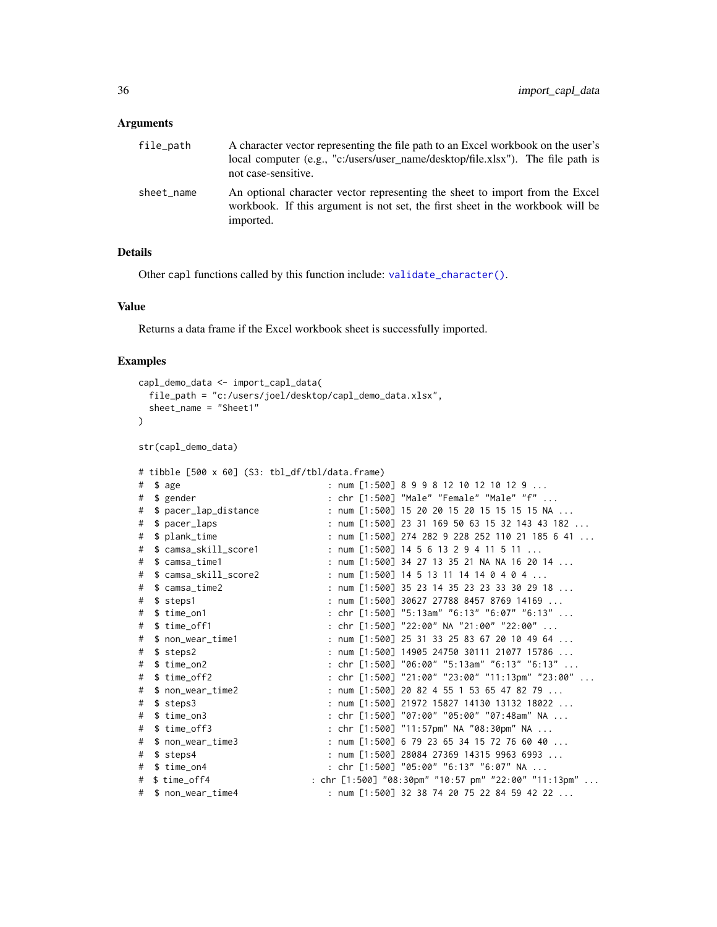#### <span id="page-35-0"></span>Arguments

| file_path  | A character vector representing the file path to an Excel workbook on the user's<br>local computer (e.g., "c:/users/user name/desktop/file.xlsx"). The file path is<br>not case-sensitive. |
|------------|--------------------------------------------------------------------------------------------------------------------------------------------------------------------------------------------|
| sheet name | An optional character vector representing the sheet to import from the Excel<br>workbook. If this argument is not set, the first sheet in the workbook will be<br>imported.                |

#### Details

Other capl functions called by this function include: [validate\\_character\(\)](#page-38-1).

#### Value

Returns a data frame if the Excel workbook sheet is successfully imported.

```
capl_demo_data <- import_capl_data(
 file_path = "c:/users/joel/desktop/capl_demo_data.xlsx",
 sheet_name = "Sheet1"
\lambdastr(capl_demo_data)
# tibble [500 x 60] (S3: tbl_df/tbl/data.frame)
# $ age : num [1:500] 8 9 9 8 12 10 12 10 12 9 ...
# $ gender : chr [1:500] "Male" "Female" "Male" "f" ...<br># $ pacer_lap_distance : num [1:500] 15 20 20 15 20 15 15 15 15 NA<br># $ pacer_laps
                            : num [1:500] 15 20 20 15 20 15 15 15 15 NA ...
# $ pacer_laps : num [1:500] 23 31 169 50 63 15 32 143 43 182 ...
# $ plank_time : num [1:500] 274 282 9 228 252 110 21 185 6 41 ...
                             : num [1:500] 14 5 6 13 2 9 4 11 5 11 \ldots# $ camsa_time1 : num [1:500] 34 27 13 35 21 NA NA 16 20 14 ...
# $ camsa_skill_score2 : num [1:500] 14 5 13 11 14 14 0 4 0 4 ...
# $ camsa_time2 : num [1:500] 35 23 14 35 23 23 33 30 29 18 ...
# $ steps1 : num [1:500] 30627 27788 8457 8769 14169 ...
# $ time_on1 : chr [1:500] "5:13am" "6:13" "6:07" "6:13" ...
# $ time_off1 : chr [1:500] "22:00" NA "21:00" "22:00" ...
# $ non_wear_time1 : num [1:500] 25 31 33 25 83 67 20 10 49 64 ...
# $ steps2 : num [1:500] 14905 24750 30111 21077 15786 ...
# $ time_on2 : chr [1:500] "06:00" "5:13am" "6:13" "6:13" ...
# $ time_off2 : chr [1:500] "21:00" "23:00" "11:13pm" "23:00" ...
# $ non_wear_time2 : num [1:500] 20 82 4 55 1 53 65 47 82 79 ...
# $ steps3 : num [1:500] 21972 15827 14130 13132 18022 ...
# $ time_on3 : chr [1:500] "07:00" "05:00" "07:48am" NA ...
# $ time_off3 : chr [1:500] "11:57pm" NA "08:30pm" NA ...
# $ non_wear_time3 : num [1:500] 6 79 23 65 34 15 72 76 60 40 ...
# $ steps4 : num [1:500] 28084 27369 14315 9963 6993 ...
# $ time_on4 : chr [1:500] "05:00" "6:13" "6:07" NA ...
# $ time_off4 : chr [1:500] "08:30pm" "10:57 pm" "22:00" "11:13pm" ...
# $ non_wear_time4 : num [1:500] 32 38 74 20 75 22 84 59 42 22 ...
```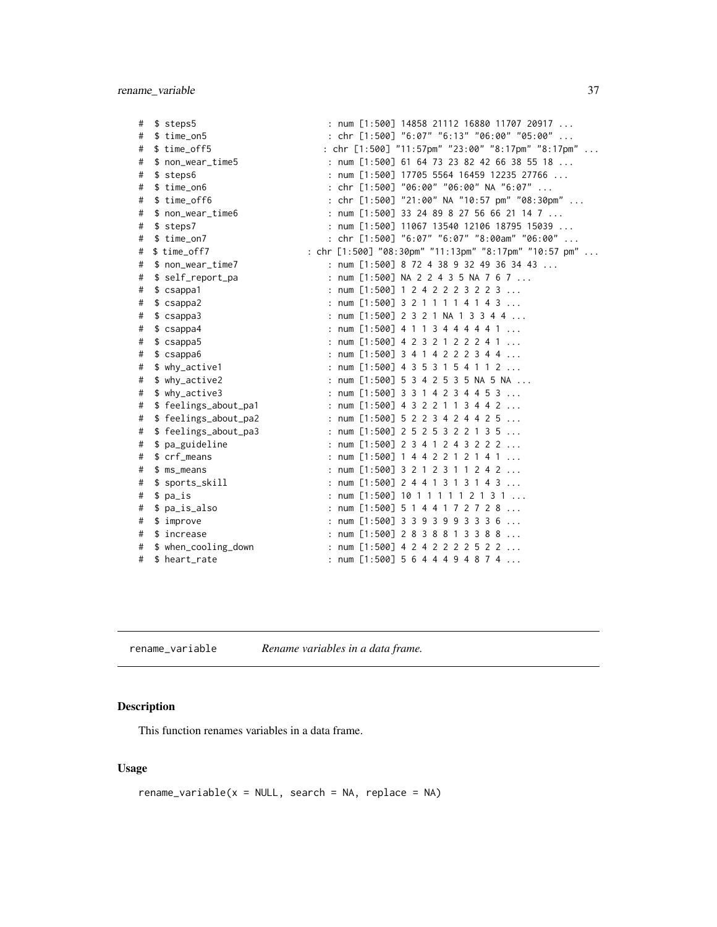<span id="page-36-0"></span>

| # | \$ steps5             | : num [1:500] 14858 21112 16880 11707 20917           |
|---|-----------------------|-------------------------------------------------------|
| # | \$ time_on5           | : chr [1:500] "6:07" "6:13" "06:00" "05:00"           |
| # | \$ time_off5          | : chr [1:500] "11:57pm" "23:00" "8:17pm" "8:17pm"     |
| # | \$ non_wear_time5     | : num [1:500] 61 64 73 23 82 42 66 38 55 18           |
| # | \$ steps6             | : num [1:500] 17705 5564 16459 12235 27766            |
| # | $$ time\_on6$         | : chr [1:500] "06:00" "06:00" NA "6:07"               |
| # | \$ time_off6          | : chr [1:500] "21:00" NA "10:57 pm" "08:30pm"         |
| # | \$ non_wear_time6     | : num $[1:500]$ 33 24 89 8 27 56 66 21 14 7           |
| # | \$ steps7             | : num [1:500] 11067 13540 12106 18795 15039           |
| # | \$ time_on7           | : chr [1:500] "6:07" "6:07" "8:00am" "06:00"          |
| # | \$ time_off7          | : chr [1:500] "08:30pm" "11:13pm" "8:17pm" "10:57 pm" |
| # | \$ non_wear_time7     | : num [1:500] 8 72 4 38 9 32 49 36 34 43              |
| # | \$ self_report_pa     | : num [1:500] NA 2 2 4 3 5 NA 7 6 7                   |
| # | \$ csappa1            | : num [1:500] 1 2 4 2 2 2 3 2 2 3                     |
| # | \$ csappa2            | : num $[1:500]$ 3 2 1 1 1 1 4 1 4 3                   |
| # | \$ csappa3            | : num [1:500] 2 3 2 1 NA 1 3 3 4 4                    |
| # | \$ csappa4            | : num $[1:500]$ 4 1 1 3 4 4 4 4 4 1                   |
| # | \$ csappa5            | : num $[1:500]$ 4 2 3 2 1 2 2 2 4 1                   |
| # | \$csappa6             | : num $[1:500]$ 3 4 1 4 2 2 2 3 4 4                   |
| # | \$ why_active1        | : num [1:500] 4 3 5 3 1 5 4 1 1 2                     |
| # | \$ why_active2        | : num [1:500] 5 3 4 2 5 3 5 NA 5 NA                   |
| # | \$ why_active3        | : num [1:500] 3 3 1 4 2 3 4 4 5 3                     |
| # | \$ feelings_about_pa1 | : num [1:500] 4 3 2 2 1 1 3 4 4 2                     |
| # | \$ feelings_about_pa2 | : num $[1:500]$ 5 2 2 3 4 2 4 4 2 5                   |
| # | \$ feelings_about_pa3 | : num [1:500] 2 5 2 5 3 2 2 1 3 5                     |
| # | \$ pa_guideline       | : num [1:500] 2 3 4 1 2 4 3 2 2 2                     |
| # | \$ crf_means          | : num $[1:500]$ 1 4 4 2 2 1 2 1 4 1                   |
| # | $$ ms_means$          | : num $[1:500]$ 3 2 1 2 3 1 1 2 4 2                   |
| # | \$ sports_skill       | : num [1:500] 2 4 4 1 3 1 3 1 4 3                     |
| # | \$ pa_is              | : num [1:500] 10 1 1 1 1 1 2 1 3 1                    |
| # | \$ pa_is_also         | : num [1:500] 5 1 4 4 1 7 2 7 2 8                     |
| # | $$$ improve           | : num $[1:500]$ 3 3 9 3 9 9 3 3 3 6                   |
| # | \$ increase           | : num [1:500] 2 8 3 8 8 1 3 3 8 8                     |
| # | \$ when_cooling_down  | : num [1:500] 4 2 4 2 2 2 2 5 2 2                     |
| # | \$ heart_rate         | : num $[1:500]$ 5 6 4 4 4 9 4 8 7 4                   |

rename\_variable *Rename variables in a data frame.*

# Description

This function renames variables in a data frame.

# Usage

 $r$ ename\_variable(x = NULL, search = NA, replace = NA)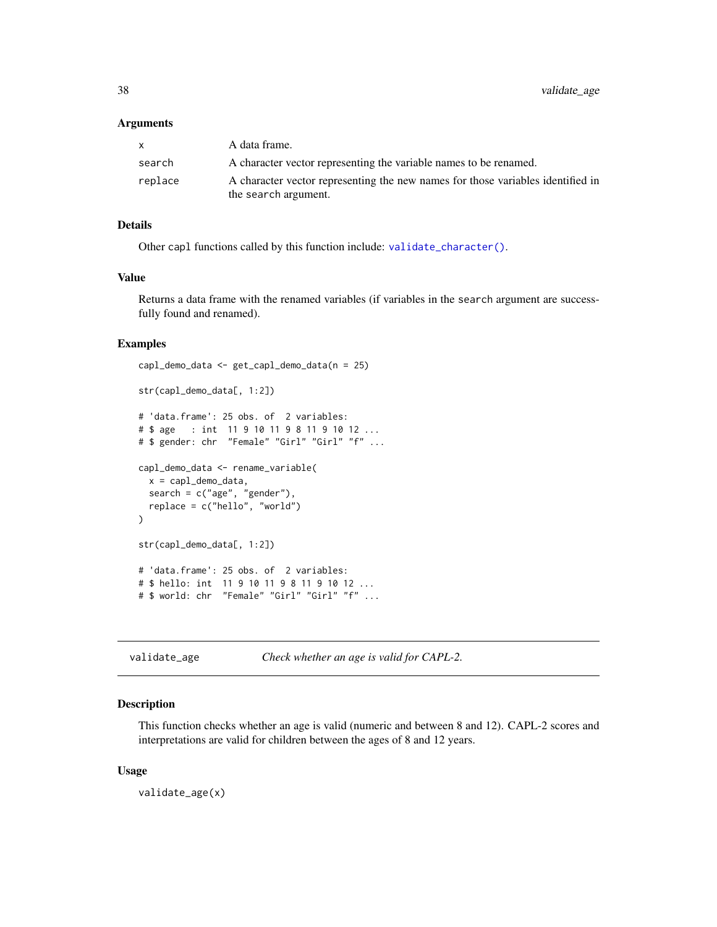#### <span id="page-37-0"></span>Arguments

| X       | A data frame.                                                                                           |
|---------|---------------------------------------------------------------------------------------------------------|
| search  | A character vector representing the variable names to be renamed.                                       |
| replace | A character vector representing the new names for those variables identified in<br>the search argument. |

# Details

Other capl functions called by this function include: [validate\\_character\(\)](#page-38-1).

# Value

Returns a data frame with the renamed variables (if variables in the search argument are successfully found and renamed).

### Examples

```
capl_demo_data <- get_capl_demo_data(n = 25)
str(capl_demo_data[, 1:2])
# 'data.frame': 25 obs. of 2 variables:
# $ age : int 11 9 10 11 9 8 11 9 10 12 ...
# $ gender: chr "Female" "Girl" "Girl" "f" ...
capl_demo_data <- rename_variable(
  x = cap1_demo_data,
  search = c("age", "gender"),
  replace = c("hello", "world")
)
str(capl_demo_data[, 1:2])
# 'data.frame': 25 obs. of 2 variables:
# $ hello: int 11 9 10 11 9 8 11 9 10 12 ...
# $ world: chr "Female" "Girl" "Girl" "f" ...
```
<span id="page-37-1"></span>validate\_age *Check whether an age is valid for CAPL-2.*

#### Description

This function checks whether an age is valid (numeric and between 8 and 12). CAPL-2 scores and interpretations are valid for children between the ages of 8 and 12 years.

#### Usage

validate\_age(x)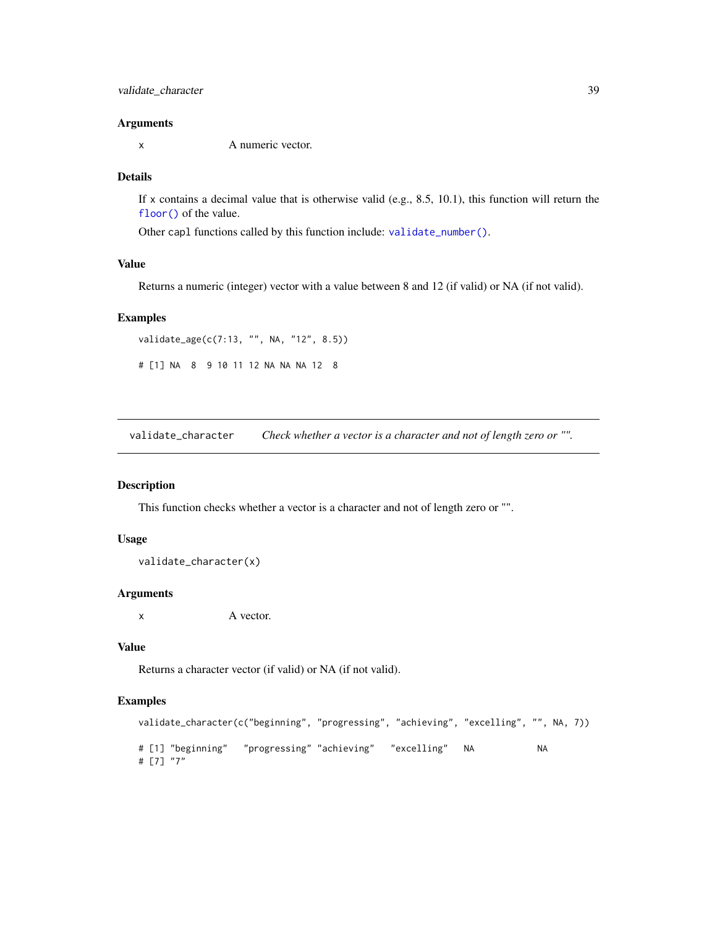#### <span id="page-38-0"></span>Arguments

x A numeric vector.

# Details

If x contains a decimal value that is otherwise valid (e.g., 8.5, 10.1), this function will return the [floor\(\)](#page-0-0) of the value.

Other capl functions called by this function include: [validate\\_number\(\)](#page-41-2).

# Value

Returns a numeric (integer) vector with a value between 8 and 12 (if valid) or NA (if not valid).

#### Examples

validate\_age(c(7:13, "", NA, "12", 8.5))

# [1] NA 8 9 10 11 12 NA NA NA 12 8

<span id="page-38-1"></span>validate\_character *Check whether a vector is a character and not of length zero or "".*

#### Description

This function checks whether a vector is a character and not of length zero or "".

#### Usage

validate\_character(x)

#### Arguments

x A vector.

# Value

Returns a character vector (if valid) or NA (if not valid).

```
validate_character(c("beginning", "progressing", "achieving", "excelling", "", NA, 7))
# [1] "beginning" "progressing" "achieving" "excelling" NA NA
# [7] "7"
```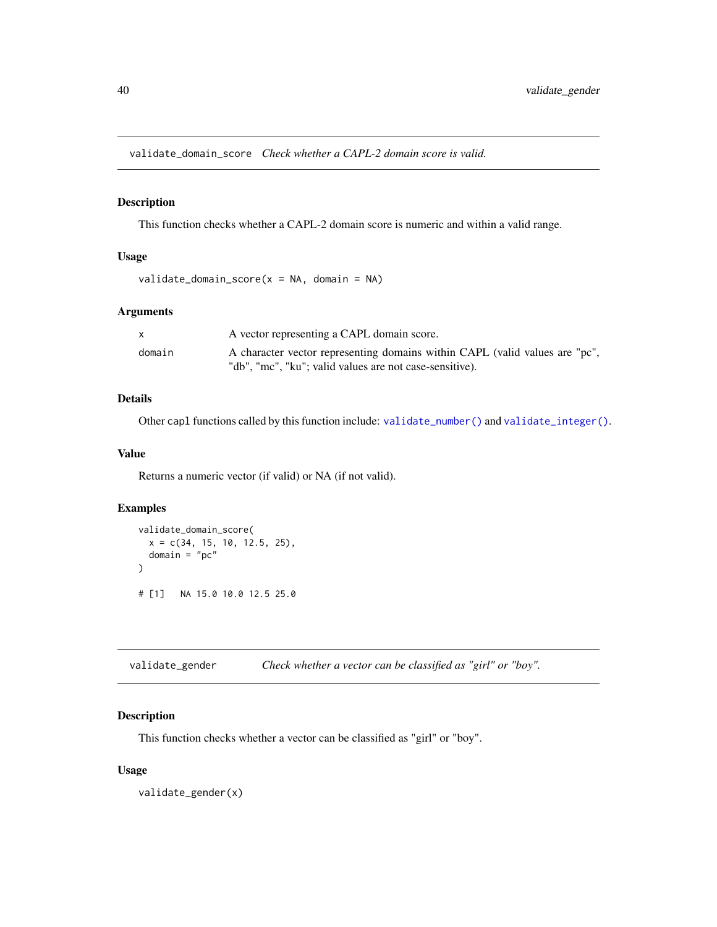<span id="page-39-2"></span><span id="page-39-0"></span>validate\_domain\_score *Check whether a CAPL-2 domain score is valid.*

# Description

This function checks whether a CAPL-2 domain score is numeric and within a valid range.

# Usage

```
validate_domain_score(x = NA, domain = NA)
```
# Arguments

|        | A vector representing a CAPL domain score.                                  |
|--------|-----------------------------------------------------------------------------|
| domain | A character vector representing domains within CAPL (valid values are "pc", |
|        | "db", "mc", "ku"; valid values are not case-sensitive).                     |

# Details

Other capl functions called by this function include: [validate\\_number\(\)](#page-41-2) and [validate\\_integer\(\)](#page-40-1).

#### Value

Returns a numeric vector (if valid) or NA (if not valid).

# Examples

```
validate_domain_score(
  x = c(34, 15, 10, 12.5, 25),
  domain = "pc"\mathcal{L}# [1] NA 15.0 10.0 12.5 25.0
```
<span id="page-39-1"></span>validate\_gender *Check whether a vector can be classified as "girl" or "boy".*

# Description

This function checks whether a vector can be classified as "girl" or "boy".

#### Usage

validate\_gender(x)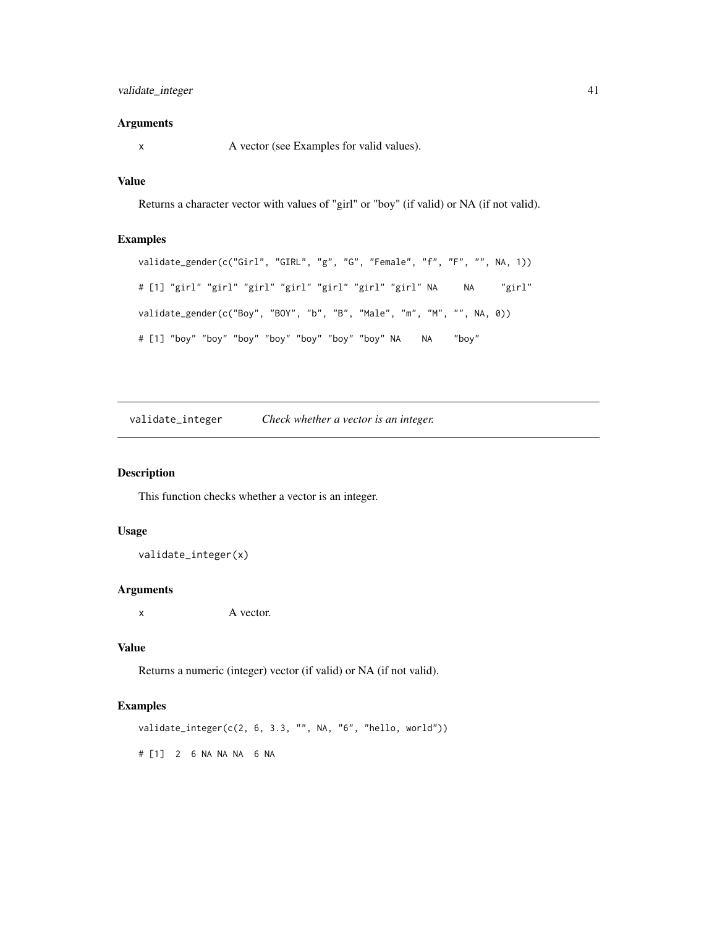# <span id="page-40-0"></span>validate\_integer 41

# Arguments

x A vector (see Examples for valid values).

# Value

Returns a character vector with values of "girl" or "boy" (if valid) or NA (if not valid).

# Examples

```
validate_gender(c("Girl", "GIRL", "g", "G", "Female", "f", "F", "", NA, 1))
# [1] "girl" "girl" "girl" "girl" "girl" "girl" "girl" NA NA "girl"
validate_gender(c("Boy", "BOY", "b", "B", "Male", "m", "M", "", NA, 0))
# [1] "boy" "boy" "boy" "boy" "boy" "boy" "boy" NA NA "boy"
```
<span id="page-40-1"></span>validate\_integer *Check whether a vector is an integer.*

# Description

This function checks whether a vector is an integer.

#### Usage

validate\_integer(x)

### Arguments

x A vector.

# Value

Returns a numeric (integer) vector (if valid) or NA (if not valid).

# Examples

validate\_integer(c(2, 6, 3.3, "", NA, "6", "hello, world"))

# [1] 2 6 NA NA NA 6 NA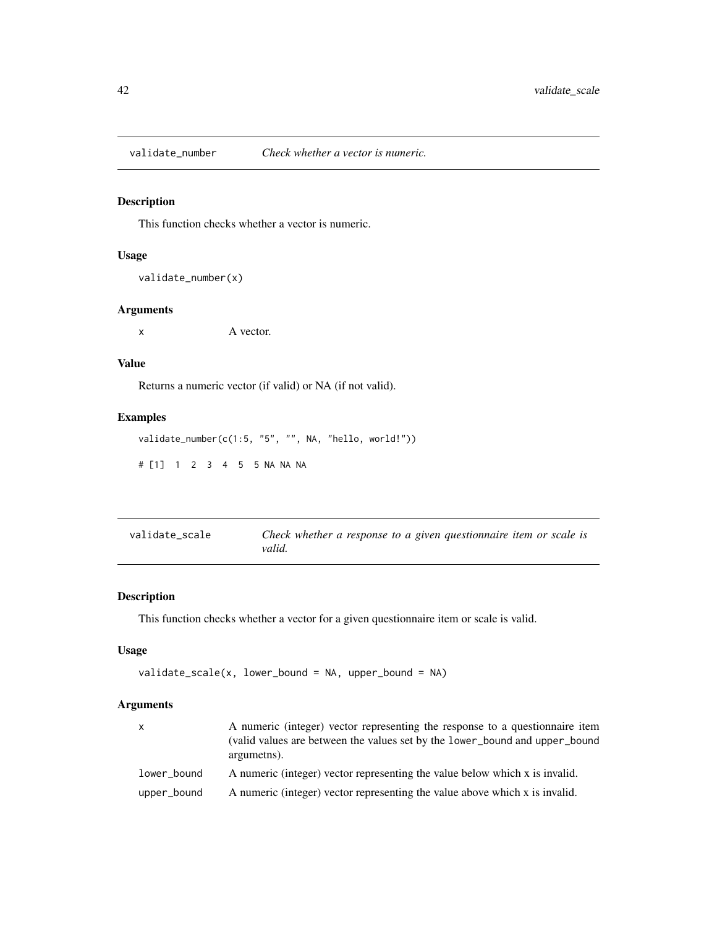<span id="page-41-2"></span><span id="page-41-0"></span>validate\_number *Check whether a vector is numeric.*

# Description

This function checks whether a vector is numeric.

# Usage

validate\_number(x)

#### Arguments

x A vector.

# Value

Returns a numeric vector (if valid) or NA (if not valid).

# Examples

validate\_number(c(1:5, "5", "", NA, "hello, world!")) # [1] 1 2 3 4 5 5 NA NA NA

<span id="page-41-1"></span>

| validate scale | Check whether a response to a given questionnaire item or scale is |
|----------------|--------------------------------------------------------------------|
|                | valid.                                                             |

# Description

This function checks whether a vector for a given questionnaire item or scale is valid.

# Usage

```
validate_scale(x, lower_bound = NA, upper_bound = NA)
```
# Arguments

| $\mathsf{x}$ | A numeric (integer) vector representing the response to a questionnaire item<br>(valid values are between the values set by the lower_bound and upper_bound<br>argumetns). |
|--------------|----------------------------------------------------------------------------------------------------------------------------------------------------------------------------|
| lower_bound  | A numeric (integer) vector representing the value below which x is invalid.                                                                                                |
| upper_bound  | A numeric (integer) vector representing the value above which x is invalid.                                                                                                |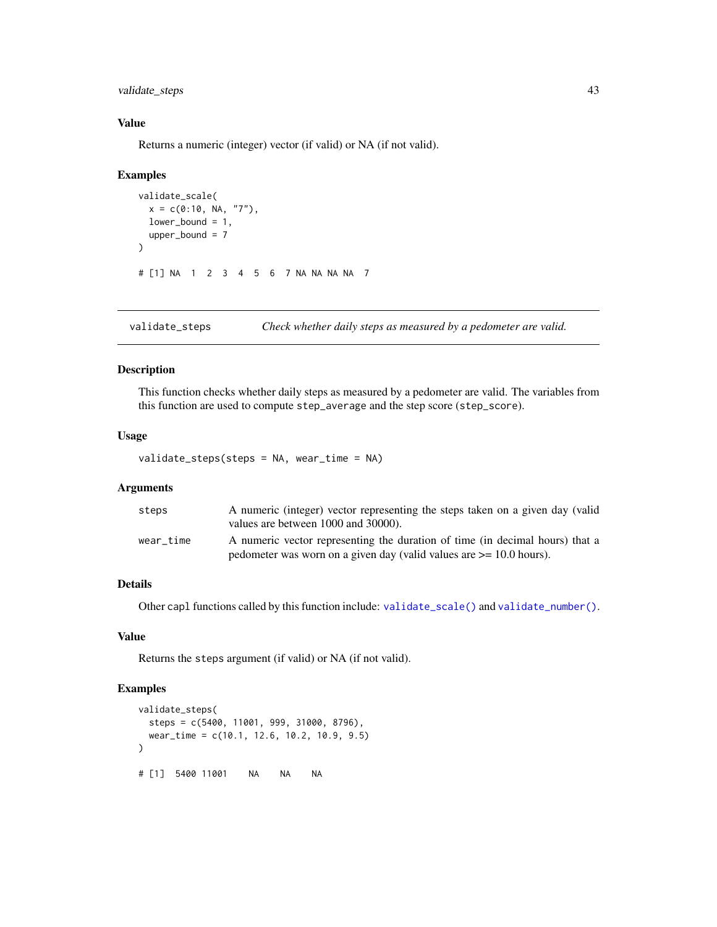<span id="page-42-0"></span>validate\_steps 43

# Value

Returns a numeric (integer) vector (if valid) or NA (if not valid).

#### Examples

```
validate_scale(
 x = c(0:10, NA, "7"),
 lower_bound = 1,
 upper\_bound = 7)
# [1] NA 1 2 3 4 5 6 7 NA NA NA NA 7
```
<span id="page-42-1"></span>validate\_steps *Check whether daily steps as measured by a pedometer are valid.*

#### Description

This function checks whether daily steps as measured by a pedometer are valid. The variables from this function are used to compute step\_average and the step score (step\_score).

#### Usage

validate\_steps(steps = NA, wear\_time = NA)

#### Arguments

| steps     | A numeric (integer) vector representing the steps taken on a given day (valid<br>values are between 1000 and 30000).                                     |
|-----------|----------------------------------------------------------------------------------------------------------------------------------------------------------|
| wear time | A numeric vector representing the duration of time (in decimal hours) that a<br>pedometer was worn on a given day (valid values are $\ge$ = 10.0 hours). |

# Details

Other capl functions called by this function include: [validate\\_scale\(\)](#page-41-1) and [validate\\_number\(\)](#page-41-2).

# Value

Returns the steps argument (if valid) or NA (if not valid).

```
validate_steps(
 steps = c(5400, 11001, 999, 31000, 8796),
 wear_time = c(10.1, 12.6, 10.2, 10.9, 9.5)
)
# [1] 5400 11001 NA NA NA
```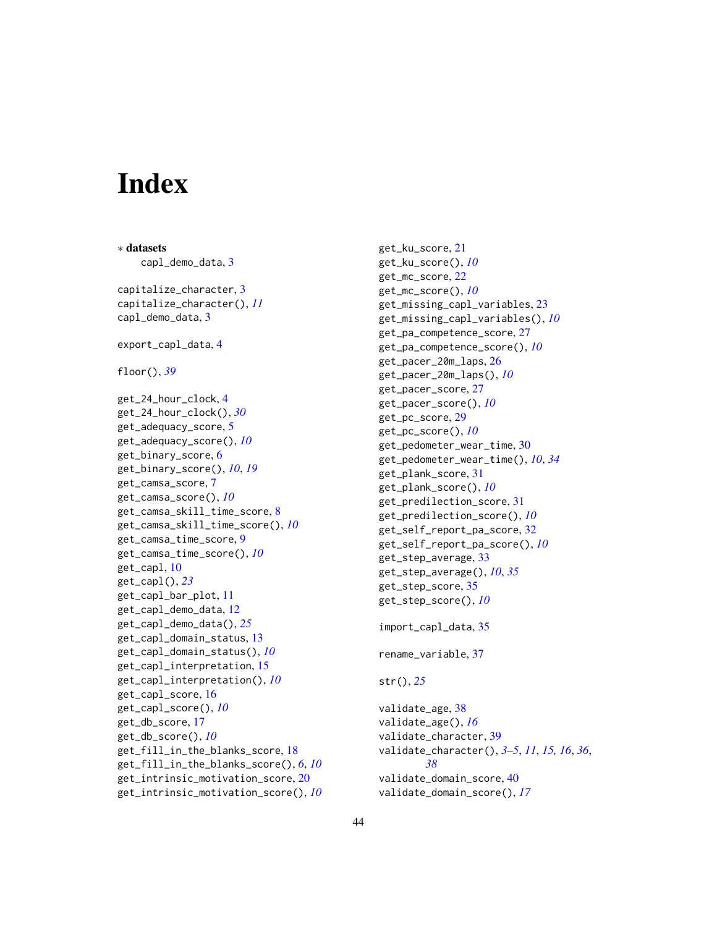# <span id="page-43-0"></span>**Index**

∗ datasets capl\_demo\_data, [3](#page-2-0) capitalize\_character, [3](#page-2-0) capitalize\_character(), *[11](#page-10-0)* capl\_demo\_data, [3](#page-2-0) export\_capl\_data, [4](#page-3-0) floor(), *[39](#page-38-0)* get\_24\_hour\_clock, [4](#page-3-0) get\_24\_hour\_clock(), *[30](#page-29-0)* get\_adequacy\_score, [5](#page-4-0) get\_adequacy\_score(), *[10](#page-9-0)* get\_binary\_score, [6](#page-5-0) get\_binary\_score(), *[10](#page-9-0)*, *[19](#page-18-0)* get\_camsa\_score, [7](#page-6-0) get\_camsa\_score(), *[10](#page-9-0)* get\_camsa\_skill\_time\_score, [8](#page-7-0) get\_camsa\_skill\_time\_score(), *[10](#page-9-0)* get\_camsa\_time\_score, [9](#page-8-0) get\_camsa\_time\_score(), *[10](#page-9-0)* get\_capl, [10](#page-9-0) get\_capl(), *[23](#page-22-0)* get\_capl\_bar\_plot, [11](#page-10-0) get\_capl\_demo\_data, [12](#page-11-0) get\_capl\_demo\_data(), *[25](#page-24-0)* get\_capl\_domain\_status, [13](#page-12-0) get\_capl\_domain\_status(), *[10](#page-9-0)* get\_capl\_interpretation, [15](#page-14-0) get\_capl\_interpretation(), *[10](#page-9-0)* get\_capl\_score, [16](#page-15-0) get\_capl\_score(), *[10](#page-9-0)* get\_db\_score, [17](#page-16-0) get\_db\_score(), *[10](#page-9-0)* get\_fill\_in\_the\_blanks\_score, [18](#page-17-0) get\_fill\_in\_the\_blanks\_score(), *[6](#page-5-0)*, *[10](#page-9-0)* get\_intrinsic\_motivation\_score, [20](#page-19-0) get\_intrinsic\_motivation\_score(), *[10](#page-9-0)* get\_ku\_score, [21](#page-20-0) get\_ku\_score(), *[10](#page-9-0)* get\_mc\_score, [22](#page-21-0) get\_mc\_score(), *[10](#page-9-0)* get\_missing\_capl\_variables, [23](#page-22-0) get\_missing\_capl\_variables(), *[10](#page-9-0)* get\_pa\_competence\_score, [27](#page-26-0) get\_pa\_competence\_score(), *[10](#page-9-0)* get\_pacer\_20m\_laps, [26](#page-25-0) get\_pacer\_20m\_laps(), *[10](#page-9-0)* get\_pacer\_score, [27](#page-26-0) get\_pacer\_score(), *[10](#page-9-0)* get\_pc\_score, [29](#page-28-0) get\_pc\_score(), *[10](#page-9-0)* get\_pedometer\_wear\_time, [30](#page-29-0) get\_pedometer\_wear\_time(), *[10](#page-9-0)*, *[34](#page-33-0)* get\_plank\_score, [31](#page-30-0) get\_plank\_score(), *[10](#page-9-0)* get\_predilection\_score, [31](#page-30-0) get\_predilection\_score(), *[10](#page-9-0)* get\_self\_report\_pa\_score, [32](#page-31-0) get\_self\_report\_pa\_score(), *[10](#page-9-0)* get\_step\_average, [33](#page-32-0) get\_step\_average(), *[10](#page-9-0)*, *[35](#page-34-0)* get\_step\_score, [35](#page-34-0) get\_step\_score(), *[10](#page-9-0)* import\_capl\_data, [35](#page-34-0) rename\_variable, [37](#page-36-0) str(), *[25](#page-24-0)* validate\_age, [38](#page-37-0) validate\_age(), *[16](#page-15-0)* validate\_character, [39](#page-38-0) validate\_character(), *[3](#page-2-0)[–5](#page-4-0)*, *[11](#page-10-0)*, *[15,](#page-14-0) [16](#page-15-0)*, *[36](#page-35-0)*, *[38](#page-37-0)* validate\_domain\_score, [40](#page-39-0) validate\_domain\_score(), *[17](#page-16-0)*